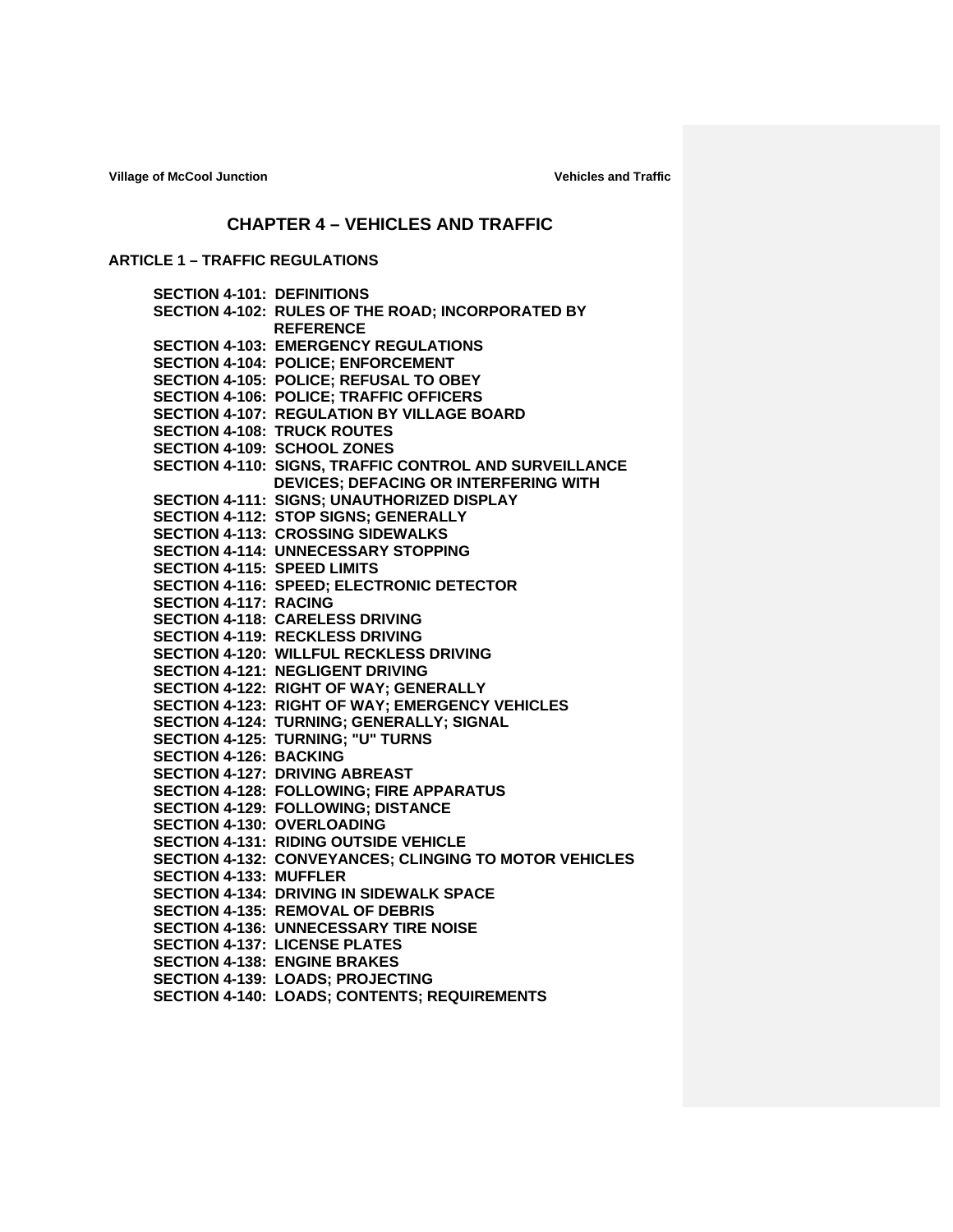Village of McCool Junction **Village of McCool Junction** 

# **CHAPTER 4 – VEHICLES AND TRAFFIC**

# **ARTICLE 1 – TRAFFIC REGULATIONS**

|                               | <b>SECTION 4-101: DEFINITIONS</b>                      |
|-------------------------------|--------------------------------------------------------|
|                               | SECTION 4-102: RULES OF THE ROAD; INCORPORATED BY      |
|                               | <b>REFERENCE</b>                                       |
|                               | <b>SECTION 4-103: EMERGENCY REGULATIONS</b>            |
|                               | SECTION 4-104: POLICE; ENFORCEMENT                     |
|                               | SECTION 4-105: POLICE; REFUSAL TO OBEY                 |
|                               | <b>SECTION 4-106: POLICE; TRAFFIC OFFICERS</b>         |
|                               | <b>SECTION 4-107: REGULATION BY VILLAGE BOARD</b>      |
|                               | <b>SECTION 4-108: TRUCK ROUTES</b>                     |
|                               | SECTION 4-109: SCHOOL ZONES                            |
|                               | SECTION 4-110: SIGNS, TRAFFIC CONTROL AND SURVEILLANCE |
|                               | <b>DEVICES; DEFACING OR INTERFERING WITH</b>           |
|                               | SECTION 4-111: SIGNS; UNAUTHORIZED DISPLAY             |
|                               | SECTION 4-112: STOP SIGNS; GENERALLY                   |
|                               | <b>SECTION 4-113: CROSSING SIDEWALKS</b>               |
|                               | <b>SECTION 4-114: UNNECESSARY STOPPING</b>             |
|                               | <b>SECTION 4-115: SPEED LIMITS</b>                     |
|                               | SECTION 4-116: SPEED; ELECTRONIC DETECTOR              |
| SECTION 4-117: RACING         |                                                        |
|                               | <b>SECTION 4-118: CARELESS DRIVING</b>                 |
|                               | <b>SECTION 4-119: RECKLESS DRIVING</b>                 |
|                               | SECTION 4-120: WILLFUL RECKLESS DRIVING                |
|                               | <b>SECTION 4-121: NEGLIGENT DRIVING</b>                |
|                               | SECTION 4-122: RIGHT OF WAY; GENERALLY                 |
|                               | SECTION 4-123: RIGHT OF WAY; EMERGENCY VEHICLES        |
|                               | SECTION 4-124: TURNING; GENERALLY; SIGNAL              |
|                               | SECTION 4-125: TURNING; "U" TURNS                      |
| <b>SECTION 4-126: BACKING</b> |                                                        |
|                               | <b>SECTION 4-127: DRIVING ABREAST</b>                  |
|                               | SECTION 4-128: FOLLOWING; FIRE APPARATUS               |
|                               | SECTION 4-129: FOLLOWING; DISTANCE                     |
|                               | <b>SECTION 4-130: OVERLOADING</b>                      |
|                               | <b>SECTION 4-131: RIDING OUTSIDE VEHICLE</b>           |
|                               | SECTION 4-132: CONVEYANCES; CLINGING TO MOTOR VEHICLES |
| <b>SECTION 4-133: MUFFLER</b> |                                                        |
|                               | <b>SECTION 4-134: DRIVING IN SIDEWALK SPACE</b>        |
|                               | <b>SECTION 4-135: REMOVAL OF DEBRIS</b>                |
|                               | <b>SECTION 4-136: UNNECESSARY TIRE NOISE</b>           |
|                               | <b>SECTION 4-137: LICENSE PLATES</b>                   |
|                               | <b>SECTION 4-138: ENGINE BRAKES</b>                    |
|                               | <b>SECTION 4-139: LOADS; PROJECTING</b>                |
|                               | <b>SECTION 4-140: LOADS: CONTENTS: REQUIREMENTS</b>    |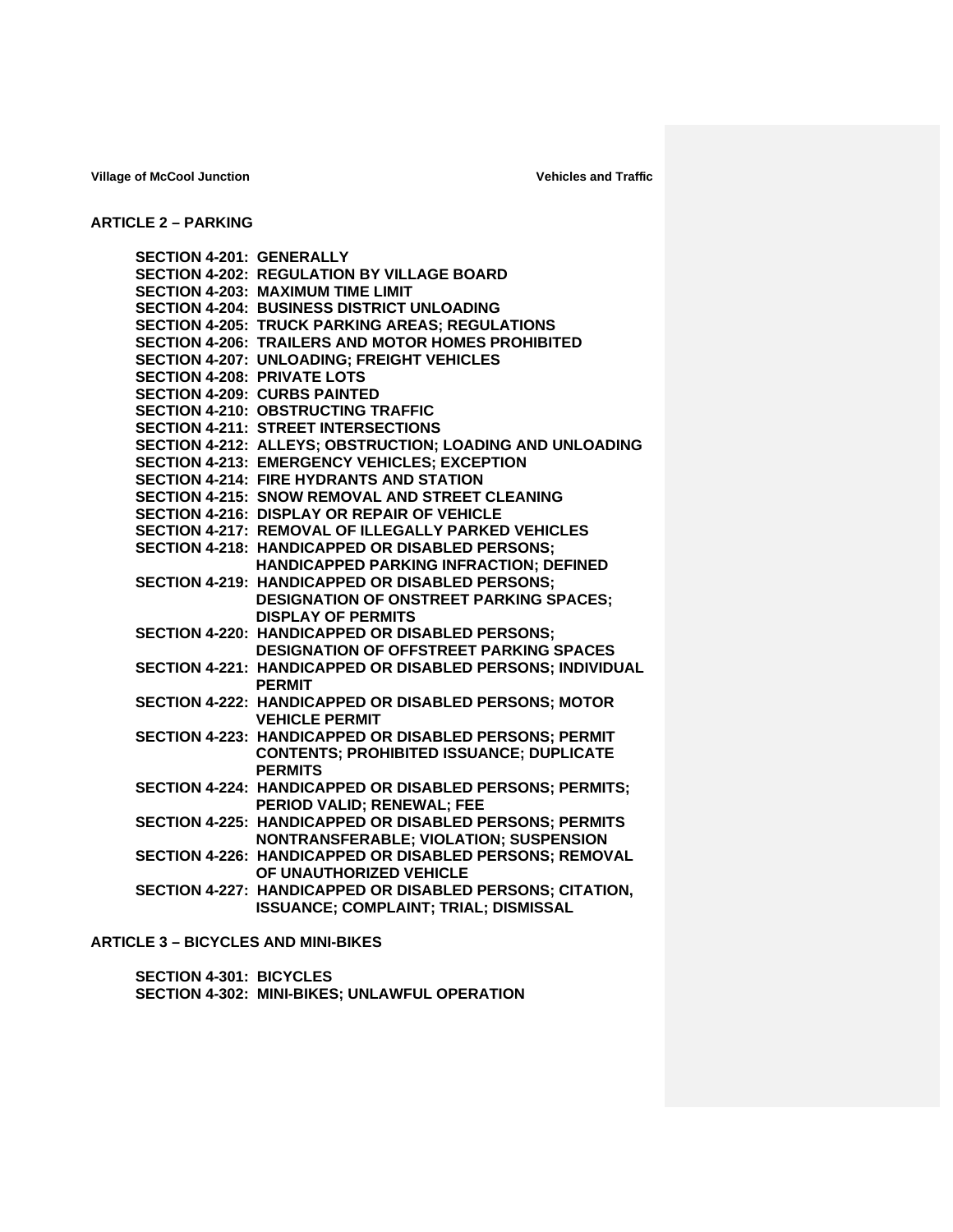## **ARTICLE 2 – PARKING**

| <b>SECTION 4-201: GENERALLY</b>    | <b>SECTION 4-202: REGULATION BY VILLAGE BOARD</b><br><b>SECTION 4-203: MAXIMUM TIME LIMIT</b><br><b>SECTION 4-204: BUSINESS DISTRICT UNLOADING</b><br><b>SECTION 4-205: TRUCK PARKING AREAS; REGULATIONS</b> |
|------------------------------------|--------------------------------------------------------------------------------------------------------------------------------------------------------------------------------------------------------------|
| <b>SECTION 4-208: PRIVATE LOTS</b> | <b>SECTION 4-206: TRAILERS AND MOTOR HOMES PROHIBITED</b><br><b>SECTION 4-207: UNLOADING; FREIGHT VEHICLES</b>                                                                                               |
|                                    | <b>SECTION 4-209: CURBS PAINTED</b><br><b>SECTION 4-210: OBSTRUCTING TRAFFIC</b><br><b>SECTION 4-211: STREET INTERSECTIONS</b>                                                                               |
|                                    | SECTION 4-212: ALLEYS; OBSTRUCTION; LOADING AND UNLOADING<br><b>SECTION 4-213: EMERGENCY VEHICLES; EXCEPTION</b>                                                                                             |
|                                    | <b>SECTION 4-214: FIRE HYDRANTS AND STATION</b><br><b>SECTION 4-215: SNOW REMOVAL AND STREET CLEANING</b><br><b>SECTION 4-216: DISPLAY OR REPAIR OF VEHICLE</b>                                              |
|                                    | SECTION 4-217: REMOVAL OF ILLEGALLY PARKED VEHICLES<br><b>SECTION 4-218: HANDICAPPED OR DISABLED PERSONS:</b><br>HANDICAPPED PARKING INFRACTION; DEFINED                                                     |
|                                    | <b>SECTION 4-219: HANDICAPPED OR DISABLED PERSONS:</b><br><b>DESIGNATION OF ONSTREET PARKING SPACES:</b><br><b>DISPLAY OF PERMITS</b>                                                                        |
|                                    | <b>SECTION 4-220: HANDICAPPED OR DISABLED PERSONS:</b><br><b>DESIGNATION OF OFFSTREET PARKING SPACES</b>                                                                                                     |
|                                    | SECTION 4-221: HANDICAPPED OR DISABLED PERSONS; INDIVIDUAL<br><b>PERMIT</b>                                                                                                                                  |
|                                    | SECTION 4-222: HANDICAPPED OR DISABLED PERSONS; MOTOR<br><b>VEHICLE PERMIT</b>                                                                                                                               |
|                                    | SECTION 4-223: HANDICAPPED OR DISABLED PERSONS; PERMIT<br><b>CONTENTS; PROHIBITED ISSUANCE; DUPLICATE</b><br><b>PERMITS</b>                                                                                  |
|                                    | SECTION 4-224: HANDICAPPED OR DISABLED PERSONS; PERMITS;<br>PERIOD VALID; RENEWAL; FEE                                                                                                                       |
|                                    | SECTION 4-225: HANDICAPPED OR DISABLED PERSONS; PERMITS<br>NONTRANSFERABLE; VIOLATION; SUSPENSION                                                                                                            |
|                                    | SECTION 4-226: HANDICAPPED OR DISABLED PERSONS; REMOVAL<br>OF UNAUTHORIZED VEHICLE                                                                                                                           |
|                                    | SECTION 4-227: HANDICAPPED OR DISABLED PERSONS; CITATION,<br><b>ISSUANCE; COMPLAINT; TRIAL; DISMISSAL</b>                                                                                                    |

# **ARTICLE 3 – BICYCLES AND MINI-BIKES**

**SECTION 4-301: BICYCLES SECTION 4-302: MINI-BIKES; UNLAWFUL OPERATION**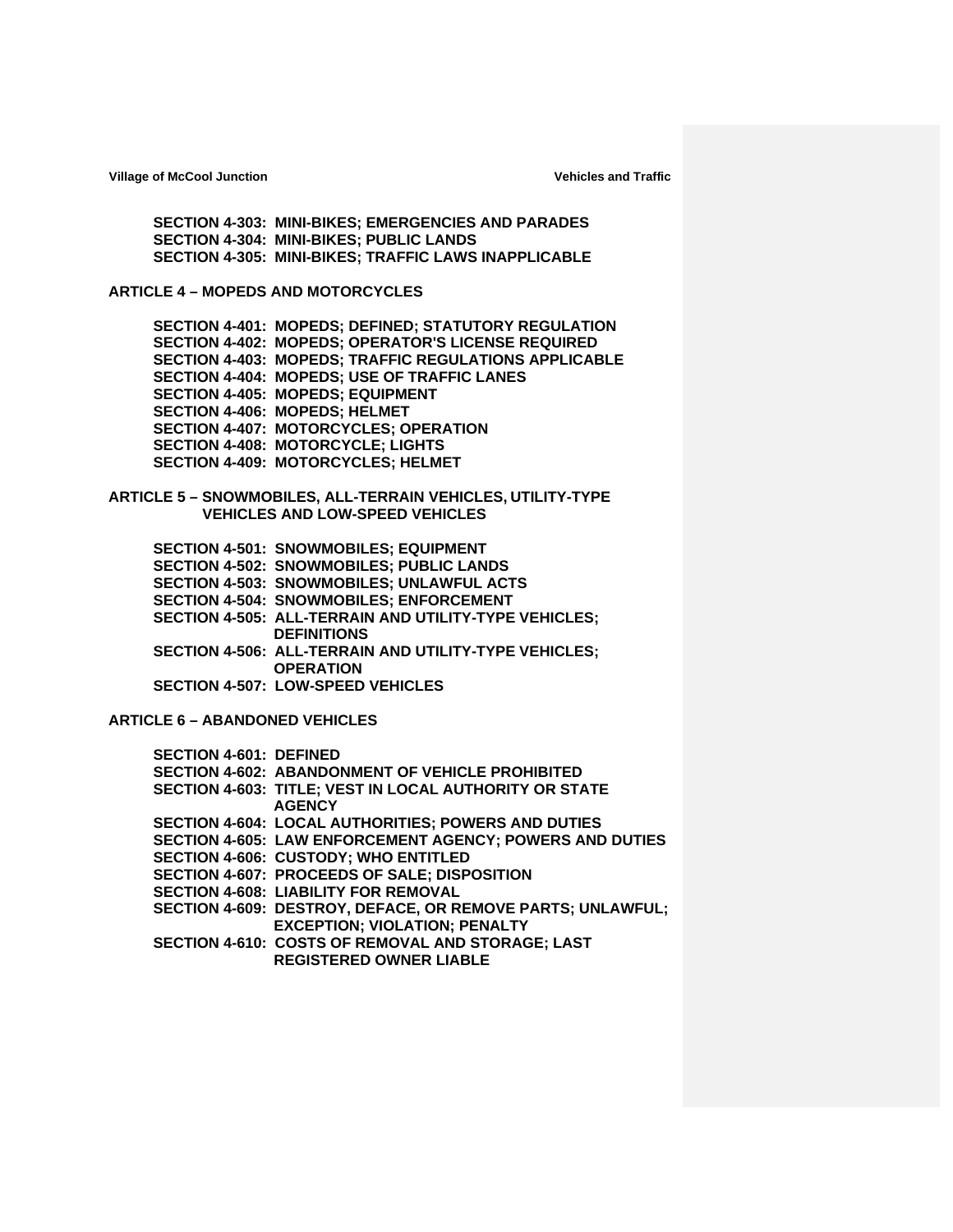**SECTION 4-303: MINI-BIKES; EMERGENCIES AND PARADES SECTION 4-304: MINI-BIKES; PUBLIC LANDS SECTION 4-305: MINI-BIKES; TRAFFIC LAWS INAPPLICABLE**

**ARTICLE 4 – MOPEDS AND MOTORCYCLES**

**SECTION 4-401: MOPEDS; DEFINED; STATUTORY REGULATION SECTION 4-402: MOPEDS; OPERATOR'S LICENSE REQUIRED SECTION 4-403: MOPEDS; TRAFFIC REGULATIONS APPLICABLE SECTION 4-404: MOPEDS; USE OF TRAFFIC LANES SECTION 4-405: MOPEDS; EQUIPMENT SECTION 4-406: MOPEDS; HELMET SECTION 4-407: MOTORCYCLES; OPERATION SECTION 4-408: MOTORCYCLE; LIGHTS SECTION 4-409: MOTORCYCLES; HELMET**

**ARTICLE 5 – SNOWMOBILES, ALL-TERRAIN VEHICLES, UTILITY-TYPE VEHICLES AND LOW-SPEED VEHICLES**

**SECTION 4-501: SNOWMOBILES; EQUIPMENT SECTION 4-502: SNOWMOBILES; PUBLIC LANDS SECTION 4-503: SNOWMOBILES; UNLAWFUL ACTS SECTION 4-504: SNOWMOBILES; ENFORCEMENT SECTION 4-505: ALL-TERRAIN AND UTILITY-TYPE VEHICLES; DEFINITIONS SECTION 4-506: ALL-TERRAIN AND UTILITY-TYPE VEHICLES; OPERATION SECTION 4-507: LOW-SPEED VEHICLES**

**ARTICLE 6 – ABANDONED VEHICLES**

| <b>SECTION 4-601: DEFINED</b> |                                                                         |
|-------------------------------|-------------------------------------------------------------------------|
|                               | <b>SECTION 4-602: ABANDONMENT OF VEHICLE PROHIBITED</b>                 |
|                               | SECTION 4-603: TITLE; VEST IN LOCAL AUTHORITY OR STATE<br><b>AGENCY</b> |
|                               | <b>SECTION 4-604: LOCAL AUTHORITIES; POWERS AND DUTIES</b>              |
|                               | <b>SECTION 4-605: LAW ENFORCEMENT AGENCY; POWERS AND DUTIES</b>         |
|                               | <b>SECTION 4-606: CUSTODY; WHO ENTITLED</b>                             |
|                               | SECTION 4-607: PROCEEDS OF SALE; DISPOSITION                            |
|                               | <b>SECTION 4-608: LIABILITY FOR REMOVAL</b>                             |
|                               | SECTION 4-609: DESTROY, DEFACE, OR REMOVE PARTS; UNLAWFUL;              |
|                               | <b>EXCEPTION; VIOLATION; PENALTY</b>                                    |
|                               | SECTION 4-610: COSTS OF REMOVAL AND STORAGE; LAST                       |
|                               | <b>REGISTERED OWNER LIABLE</b>                                          |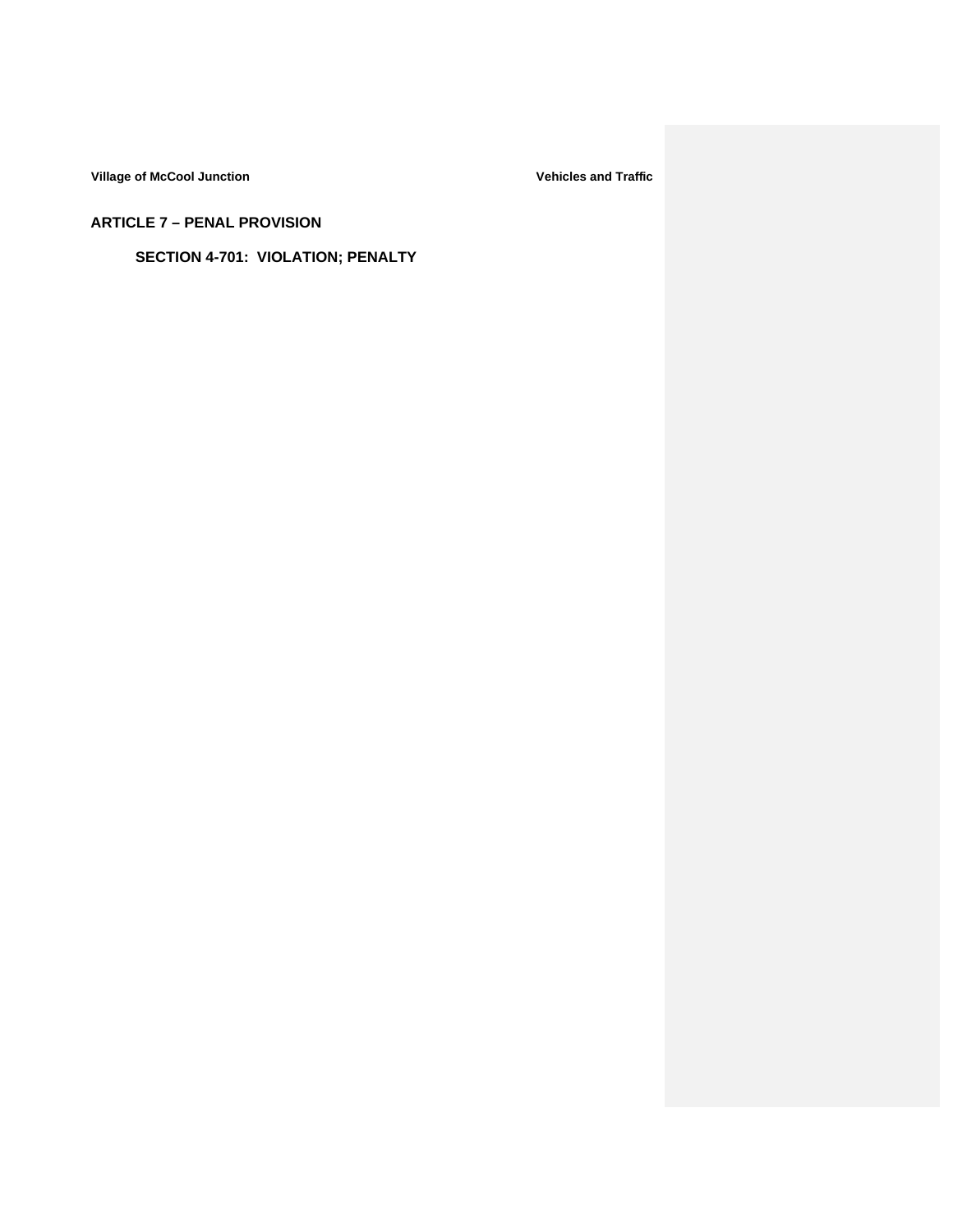**ARTICLE 7 – PENAL PROVISION**

**SECTION 4-701: VIOLATION; PENALTY**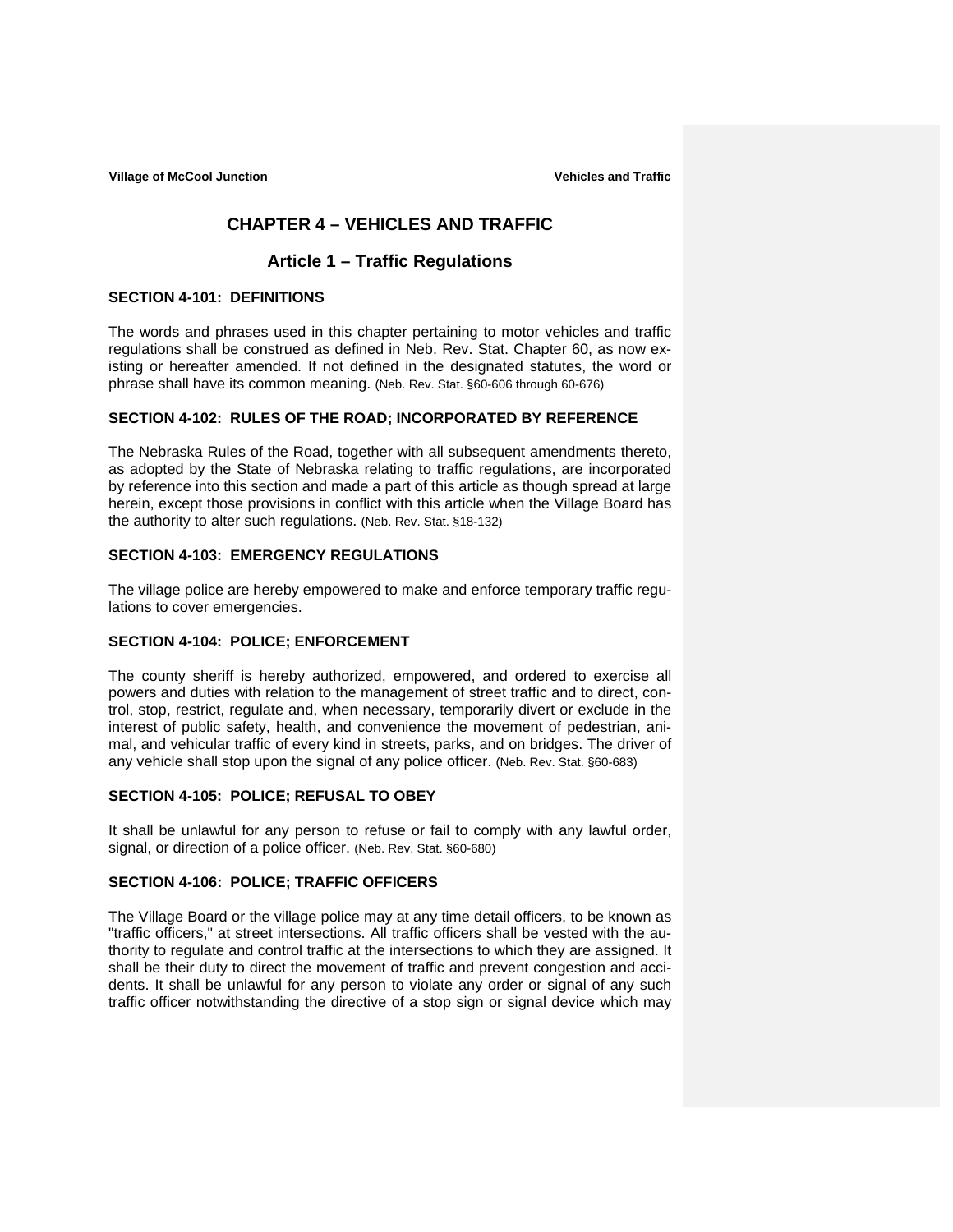# **CHAPTER 4 – VEHICLES AND TRAFFIC**

# **Article 1 – Traffic Regulations**

### **SECTION 4-101: DEFINITIONS**

The words and phrases used in this chapter pertaining to motor vehicles and traffic regulations shall be construed as defined in Neb. Rev. Stat. Chapter 60, as now existing or hereafter amended. If not defined in the designated statutes, the word or phrase shall have its common meaning. (Neb. Rev. Stat. §60-606 through 60-676)

### **SECTION 4-102: RULES OF THE ROAD; INCORPORATED BY REFERENCE**

The Nebraska Rules of the Road, together with all subsequent amendments thereto, as adopted by the State of Nebraska relating to traffic regulations, are incorporated by reference into this section and made a part of this article as though spread at large herein, except those provisions in conflict with this article when the Village Board has the authority to alter such regulations. (Neb. Rev. Stat. §18-132)

### **SECTION 4-103: EMERGENCY REGULATIONS**

The village police are hereby empowered to make and enforce temporary traffic regulations to cover emergencies.

## **SECTION 4-104: POLICE; ENFORCEMENT**

The county sheriff is hereby authorized, empowered, and ordered to exercise all powers and duties with relation to the management of street traffic and to direct, control, stop, restrict, regulate and, when necessary, temporarily divert or exclude in the interest of public safety, health, and convenience the movement of pedestrian, animal, and vehicular traffic of every kind in streets, parks, and on bridges. The driver of any vehicle shall stop upon the signal of any police officer. (Neb. Rev. Stat. §60-683)

### **SECTION 4-105: POLICE; REFUSAL TO OBEY**

It shall be unlawful for any person to refuse or fail to comply with any lawful order, signal, or direction of a police officer. (Neb. Rev. Stat. §60-680)

## **SECTION 4-106: POLICE; TRAFFIC OFFICERS**

The Village Board or the village police may at any time detail officers, to be known as "traffic officers," at street intersections. All traffic officers shall be vested with the authority to regulate and control traffic at the intersections to which they are assigned. It shall be their duty to direct the movement of traffic and prevent congestion and accidents. It shall be unlawful for any person to violate any order or signal of any such traffic officer notwithstanding the directive of a stop sign or signal device which may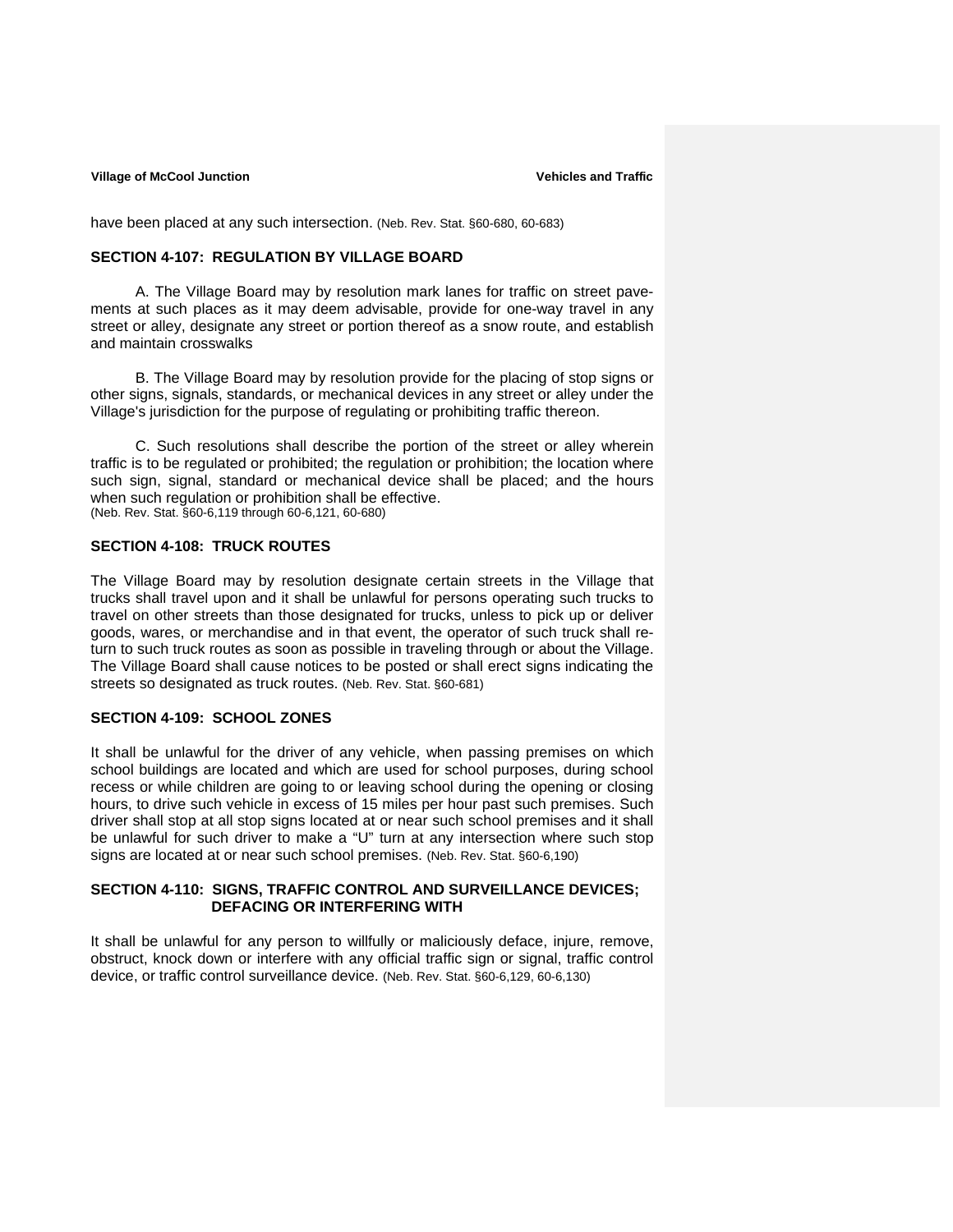have been placed at any such intersection. (Neb. Rev. Stat. §60-680, 60-683)

## **SECTION 4-107: REGULATION BY VILLAGE BOARD**

A. The Village Board may by resolution mark lanes for traffic on street pavements at such places as it may deem advisable, provide for one-way travel in any street or alley, designate any street or portion thereof as a snow route, and establish and maintain crosswalks

 B. The Village Board may by resolution provide for the placing of stop signs or other signs, signals, standards, or mechanical devices in any street or alley under the Village's jurisdiction for the purpose of regulating or prohibiting traffic thereon.

 C. Such resolutions shall describe the portion of the street or alley wherein traffic is to be regulated or prohibited; the regulation or prohibition; the location where such sign, signal, standard or mechanical device shall be placed; and the hours when such regulation or prohibition shall be effective. (Neb. Rev. Stat. §60-6,119 through 60-6,121, 60-680)

#### **SECTION 4-108: TRUCK ROUTES**

The Village Board may by resolution designate certain streets in the Village that trucks shall travel upon and it shall be unlawful for persons operating such trucks to travel on other streets than those designated for trucks, unless to pick up or deliver goods, wares, or merchandise and in that event, the operator of such truck shall return to such truck routes as soon as possible in traveling through or about the Village. The Village Board shall cause notices to be posted or shall erect signs indicating the streets so designated as truck routes. (Neb. Rev. Stat. §60-681)

### **SECTION 4-109: SCHOOL ZONES**

It shall be unlawful for the driver of any vehicle, when passing premises on which school buildings are located and which are used for school purposes, during school recess or while children are going to or leaving school during the opening or closing hours, to drive such vehicle in excess of 15 miles per hour past such premises. Such driver shall stop at all stop signs located at or near such school premises and it shall be unlawful for such driver to make a "U" turn at any intersection where such stop signs are located at or near such school premises. (Neb. Rev. Stat. §60-6,190)

### **SECTION 4-110: SIGNS, TRAFFIC CONTROL AND SURVEILLANCE DEVICES; DEFACING OR INTERFERING WITH**

It shall be unlawful for any person to willfully or maliciously deface, injure, remove, obstruct, knock down or interfere with any official traffic sign or signal, traffic control device, or traffic control surveillance device. (Neb. Rev. Stat. §60-6,129, 60-6,130)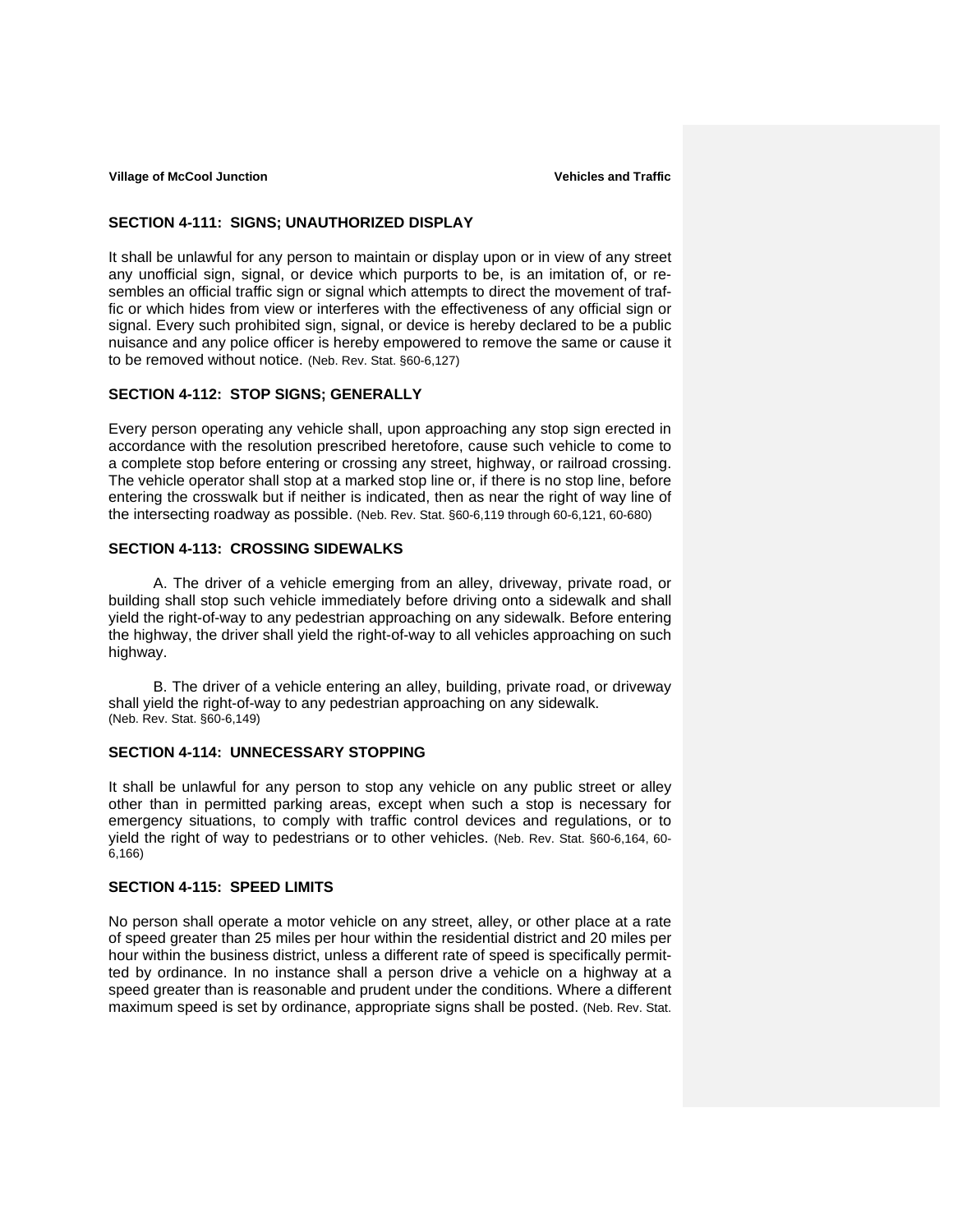#### **SECTION 4-111: SIGNS; UNAUTHORIZED DISPLAY**

It shall be unlawful for any person to maintain or display upon or in view of any street any unofficial sign, signal, or device which purports to be, is an imitation of, or resembles an official traffic sign or signal which attempts to direct the movement of traffic or which hides from view or interferes with the effectiveness of any official sign or signal. Every such prohibited sign, signal, or device is hereby declared to be a public nuisance and any police officer is hereby empowered to remove the same or cause it to be removed without notice. (Neb. Rev. Stat. §60-6,127)

### **SECTION 4-112: STOP SIGNS; GENERALLY**

Every person operating any vehicle shall, upon approaching any stop sign erected in accordance with the resolution prescribed heretofore, cause such vehicle to come to a complete stop before entering or crossing any street, highway, or railroad crossing. The vehicle operator shall stop at a marked stop line or, if there is no stop line, before entering the crosswalk but if neither is indicated, then as near the right of way line of the intersecting roadway as possible. (Neb. Rev. Stat. §60-6,119 through 60-6,121, 60-680)

# **SECTION 4-113: CROSSING SIDEWALKS**

 A. The driver of a vehicle emerging from an alley, driveway, private road, or building shall stop such vehicle immediately before driving onto a sidewalk and shall yield the right-of-way to any pedestrian approaching on any sidewalk. Before entering the highway, the driver shall yield the right-of-way to all vehicles approaching on such highway.

 B. The driver of a vehicle entering an alley, building, private road, or driveway shall yield the right-of-way to any pedestrian approaching on any sidewalk. (Neb. Rev. Stat. §60-6,149)

## **SECTION 4-114: UNNECESSARY STOPPING**

It shall be unlawful for any person to stop any vehicle on any public street or alley other than in permitted parking areas, except when such a stop is necessary for emergency situations, to comply with traffic control devices and regulations, or to yield the right of way to pedestrians or to other vehicles. (Neb. Rev. Stat. §60-6,164, 60- 6,166)

#### **SECTION 4-115: SPEED LIMITS**

No person shall operate a motor vehicle on any street, alley, or other place at a rate of speed greater than 25 miles per hour within the residential district and 20 miles per hour within the business district, unless a different rate of speed is specifically permitted by ordinance. In no instance shall a person drive a vehicle on a highway at a speed greater than is reasonable and prudent under the conditions. Where a different maximum speed is set by ordinance, appropriate signs shall be posted. (Neb. Rev. Stat.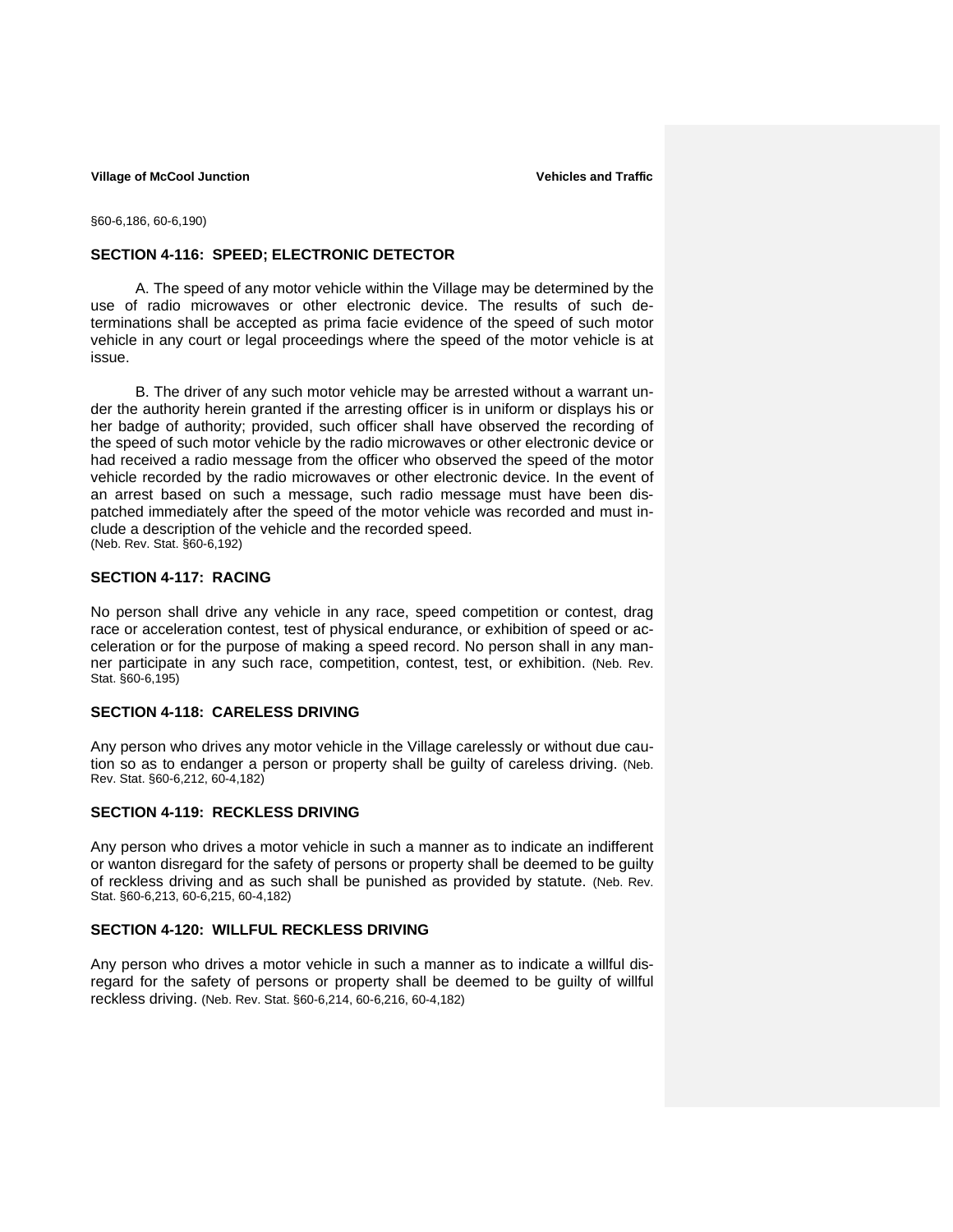§60-6,186, 60-6,190)

#### **SECTION 4-116: SPEED; ELECTRONIC DETECTOR**

 A. The speed of any motor vehicle within the Village may be determined by the use of radio microwaves or other electronic device. The results of such determinations shall be accepted as prima facie evidence of the speed of such motor vehicle in any court or legal proceedings where the speed of the motor vehicle is at issue.

B. The driver of any such motor vehicle may be arrested without a warrant under the authority herein granted if the arresting officer is in uniform or displays his or her badge of authority; provided, such officer shall have observed the recording of the speed of such motor vehicle by the radio microwaves or other electronic device or had received a radio message from the officer who observed the speed of the motor vehicle recorded by the radio microwaves or other electronic device. In the event of an arrest based on such a message, such radio message must have been dispatched immediately after the speed of the motor vehicle was recorded and must include a description of the vehicle and the recorded speed. (Neb. Rev. Stat. §60-6,192)

#### **SECTION 4-117: RACING**

No person shall drive any vehicle in any race, speed competition or contest, drag race or acceleration contest, test of physical endurance, or exhibition of speed or acceleration or for the purpose of making a speed record. No person shall in any manner participate in any such race, competition, contest, test, or exhibition. (Neb. Rev. Stat. §60-6,195)

## **SECTION 4-118: CARELESS DRIVING**

Any person who drives any motor vehicle in the Village carelessly or without due caution so as to endanger a person or property shall be guilty of careless driving. (Neb. Rev. Stat. §60-6,212, 60-4,182)

### **SECTION 4-119: RECKLESS DRIVING**

Any person who drives a motor vehicle in such a manner as to indicate an indifferent or wanton disregard for the safety of persons or property shall be deemed to be guilty of reckless driving and as such shall be punished as provided by statute. (Neb. Rev. Stat. §60-6,213, 60-6,215, 60-4,182)

### **SECTION 4-120: WILLFUL RECKLESS DRIVING**

Any person who drives a motor vehicle in such a manner as to indicate a willful disregard for the safety of persons or property shall be deemed to be guilty of willful reckless driving. (Neb. Rev. Stat. §60-6,214, 60-6,216, 60-4,182)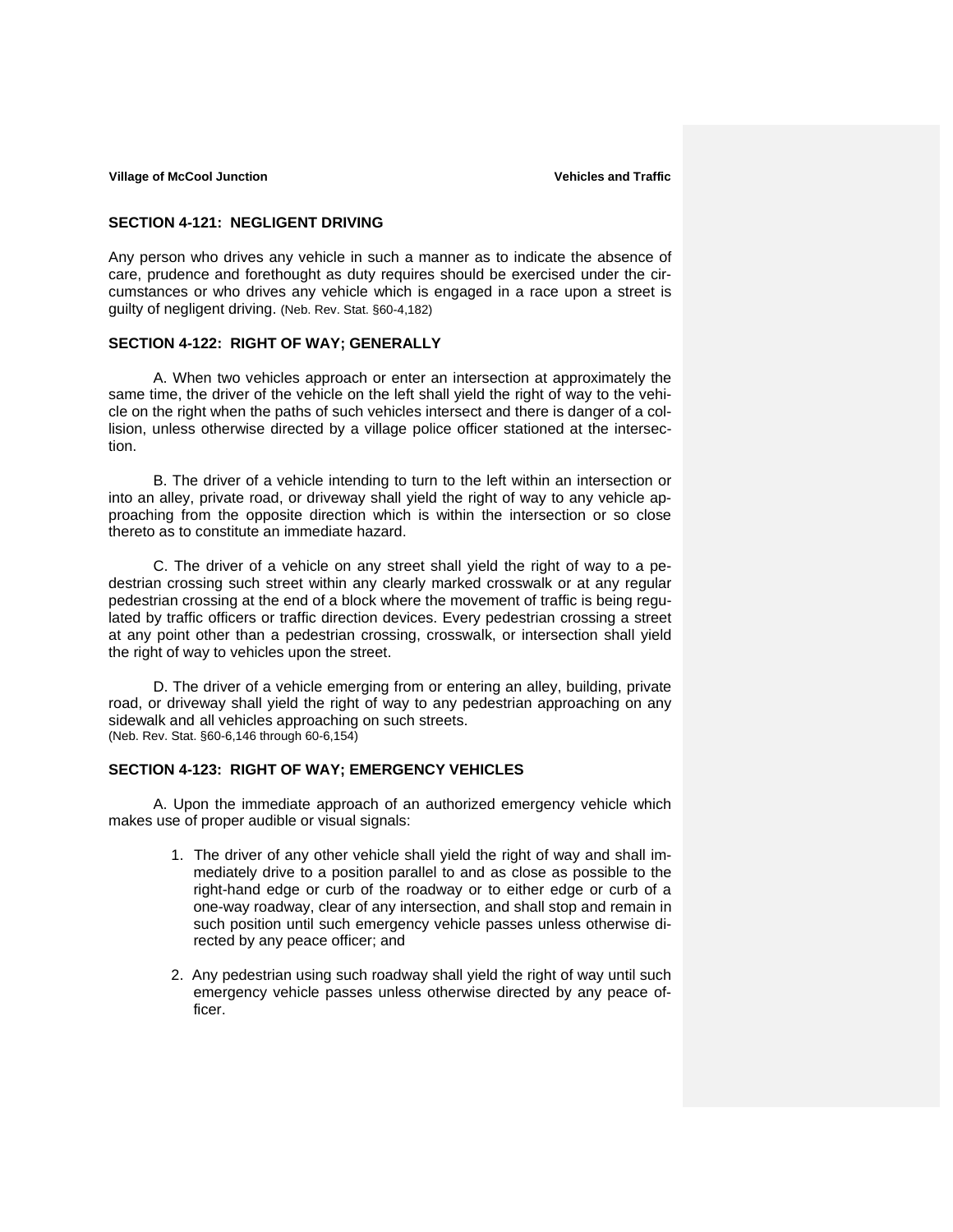#### **SECTION 4-121: NEGLIGENT DRIVING**

Any person who drives any vehicle in such a manner as to indicate the absence of care, prudence and forethought as duty requires should be exercised under the circumstances or who drives any vehicle which is engaged in a race upon a street is guilty of negligent driving. (Neb. Rev. Stat. §60-4,182)

### **SECTION 4-122: RIGHT OF WAY; GENERALLY**

 A. When two vehicles approach or enter an intersection at approximately the same time, the driver of the vehicle on the left shall yield the right of way to the vehicle on the right when the paths of such vehicles intersect and there is danger of a collision, unless otherwise directed by a village police officer stationed at the intersection.

B. The driver of a vehicle intending to turn to the left within an intersection or into an alley, private road, or driveway shall yield the right of way to any vehicle approaching from the opposite direction which is within the intersection or so close thereto as to constitute an immediate hazard.

C. The driver of a vehicle on any street shall yield the right of way to a pedestrian crossing such street within any clearly marked crosswalk or at any regular pedestrian crossing at the end of a block where the movement of traffic is being regulated by traffic officers or traffic direction devices. Every pedestrian crossing a street at any point other than a pedestrian crossing, crosswalk, or intersection shall yield the right of way to vehicles upon the street.

D. The driver of a vehicle emerging from or entering an alley, building, private road, or driveway shall yield the right of way to any pedestrian approaching on any sidewalk and all vehicles approaching on such streets. (Neb. Rev. Stat. §60-6,146 through 60-6,154)

## **SECTION 4-123: RIGHT OF WAY; EMERGENCY VEHICLES**

A. Upon the immediate approach of an authorized emergency vehicle which makes use of proper audible or visual signals:

- 1. The driver of any other vehicle shall yield the right of way and shall immediately drive to a position parallel to and as close as possible to the right-hand edge or curb of the roadway or to either edge or curb of a one-way roadway, clear of any intersection, and shall stop and remain in such position until such emergency vehicle passes unless otherwise directed by any peace officer; and
- 2. Any pedestrian using such roadway shall yield the right of way until such emergency vehicle passes unless otherwise directed by any peace officer.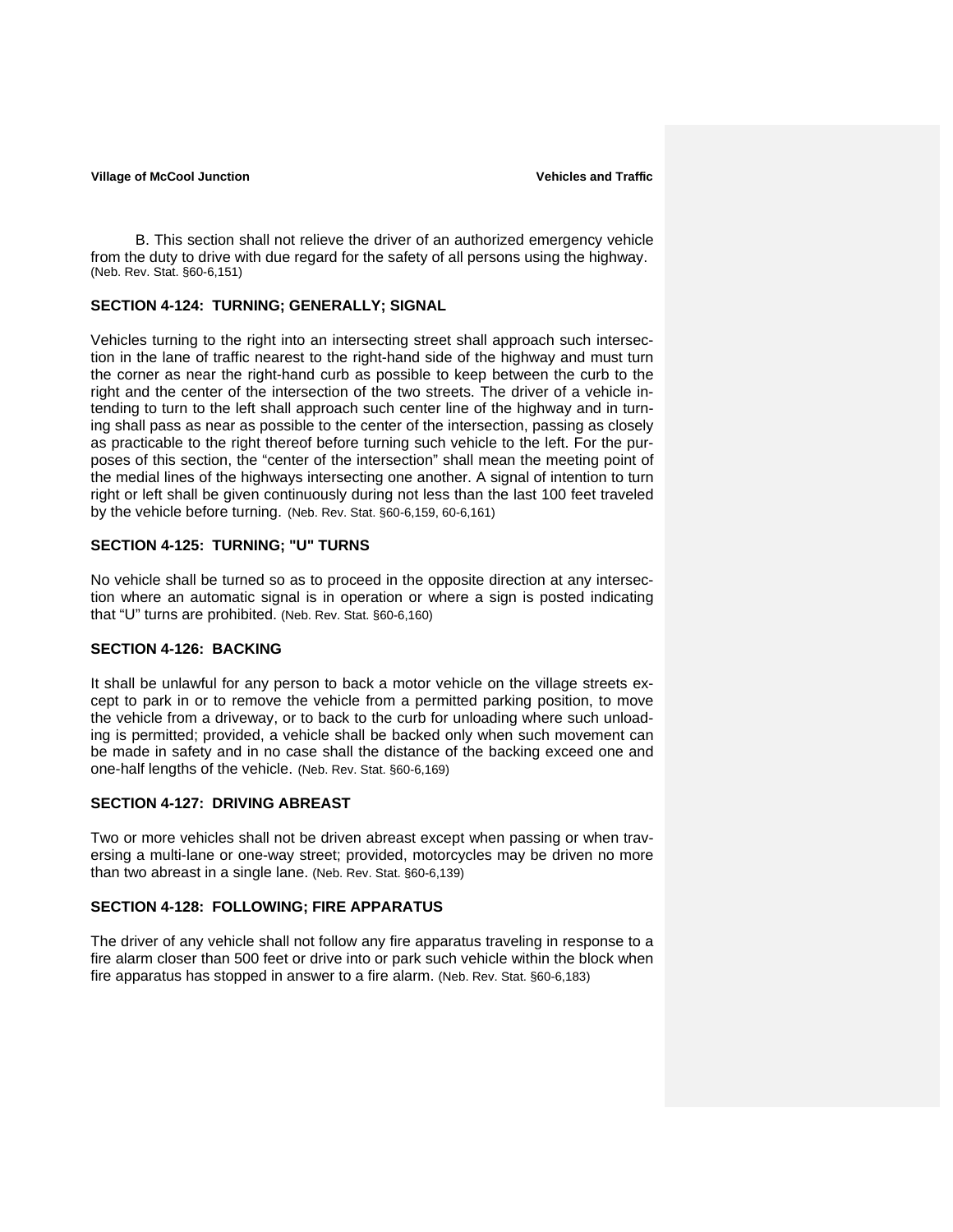B. This section shall not relieve the driver of an authorized emergency vehicle from the duty to drive with due regard for the safety of all persons using the highway. (Neb. Rev. Stat. §60-6,151)

#### **SECTION 4-124: TURNING; GENERALLY; SIGNAL**

Vehicles turning to the right into an intersecting street shall approach such intersection in the lane of traffic nearest to the right-hand side of the highway and must turn the corner as near the right-hand curb as possible to keep between the curb to the right and the center of the intersection of the two streets. The driver of a vehicle intending to turn to the left shall approach such center line of the highway and in turning shall pass as near as possible to the center of the intersection, passing as closely as practicable to the right thereof before turning such vehicle to the left. For the purposes of this section, the "center of the intersection" shall mean the meeting point of the medial lines of the highways intersecting one another. A signal of intention to turn right or left shall be given continuously during not less than the last 100 feet traveled by the vehicle before turning. (Neb. Rev. Stat. §60-6,159, 60-6,161)

### **SECTION 4-125: TURNING; "U" TURNS**

No vehicle shall be turned so as to proceed in the opposite direction at any intersection where an automatic signal is in operation or where a sign is posted indicating that "U" turns are prohibited. (Neb. Rev. Stat. §60-6,160)

## **SECTION 4-126: BACKING**

It shall be unlawful for any person to back a motor vehicle on the village streets except to park in or to remove the vehicle from a permitted parking position, to move the vehicle from a driveway, or to back to the curb for unloading where such unloading is permitted; provided, a vehicle shall be backed only when such movement can be made in safety and in no case shall the distance of the backing exceed one and one-half lengths of the vehicle. (Neb. Rev. Stat. §60-6,169)

## **SECTION 4-127: DRIVING ABREAST**

Two or more vehicles shall not be driven abreast except when passing or when traversing a multi-lane or one-way street; provided, motorcycles may be driven no more than two abreast in a single lane. (Neb. Rev. Stat. §60-6,139)

### **SECTION 4-128: FOLLOWING; FIRE APPARATUS**

The driver of any vehicle shall not follow any fire apparatus traveling in response to a fire alarm closer than 500 feet or drive into or park such vehicle within the block when fire apparatus has stopped in answer to a fire alarm. (Neb. Rev. Stat. §60-6,183)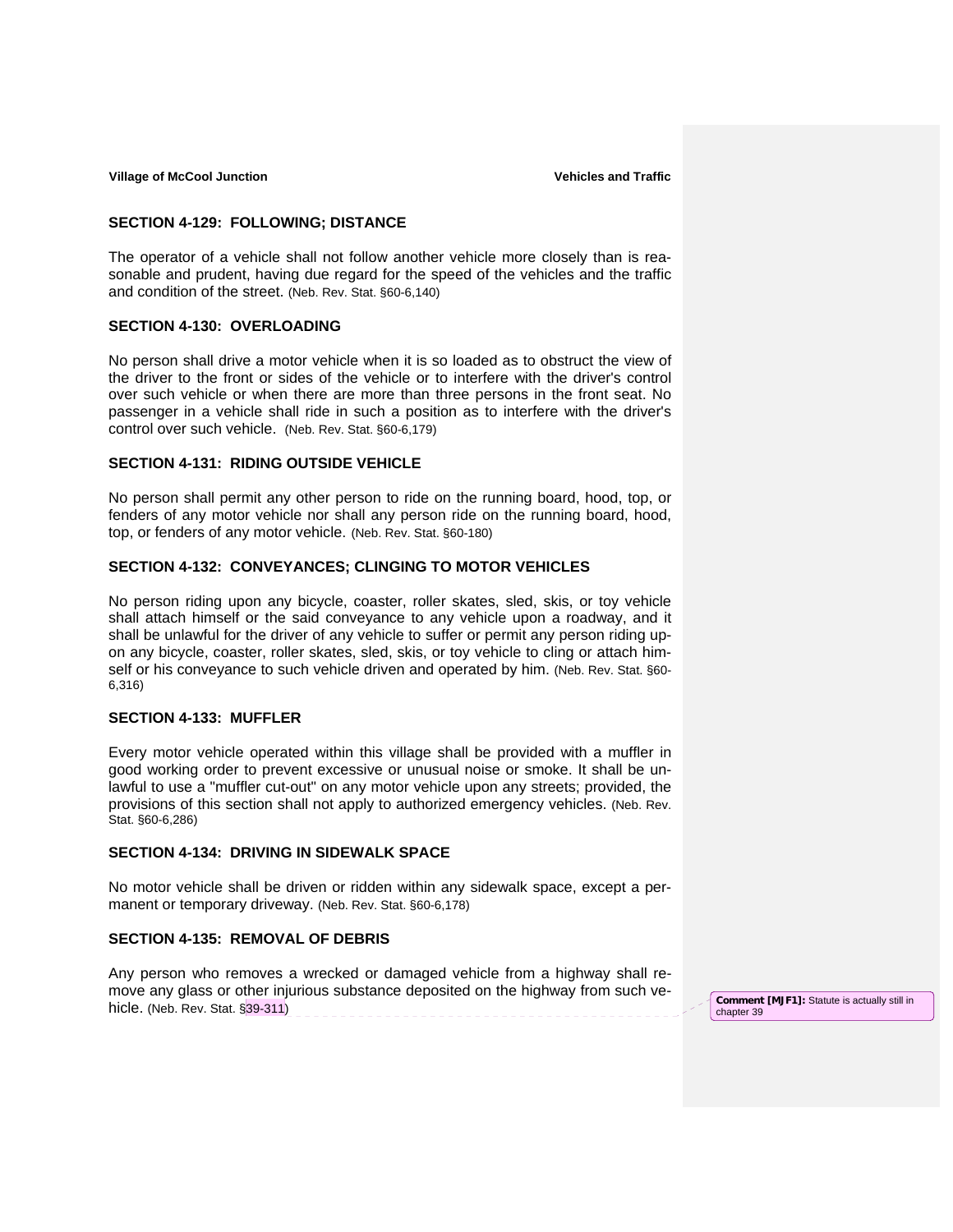#### **SECTION 4-129: FOLLOWING; DISTANCE**

The operator of a vehicle shall not follow another vehicle more closely than is reasonable and prudent, having due regard for the speed of the vehicles and the traffic and condition of the street. (Neb. Rev. Stat. §60-6,140)

### **SECTION 4-130: OVERLOADING**

No person shall drive a motor vehicle when it is so loaded as to obstruct the view of the driver to the front or sides of the vehicle or to interfere with the driver's control over such vehicle or when there are more than three persons in the front seat. No passenger in a vehicle shall ride in such a position as to interfere with the driver's control over such vehicle. (Neb. Rev. Stat. §60-6,179)

#### **SECTION 4-131: RIDING OUTSIDE VEHICLE**

No person shall permit any other person to ride on the running board, hood, top, or fenders of any motor vehicle nor shall any person ride on the running board, hood, top, or fenders of any motor vehicle. (Neb. Rev. Stat. §60-180)

#### **SECTION 4-132: CONVEYANCES; CLINGING TO MOTOR VEHICLES**

No person riding upon any bicycle, coaster, roller skates, sled, skis, or toy vehicle shall attach himself or the said conveyance to any vehicle upon a roadway, and it shall be unlawful for the driver of any vehicle to suffer or permit any person riding upon any bicycle, coaster, roller skates, sled, skis, or toy vehicle to cling or attach himself or his conveyance to such vehicle driven and operated by him. (Neb. Rev. Stat. §60- 6,316)

## **SECTION 4-133: MUFFLER**

Every motor vehicle operated within this village shall be provided with a muffler in good working order to prevent excessive or unusual noise or smoke. It shall be unlawful to use a "muffler cut-out" on any motor vehicle upon any streets; provided, the provisions of this section shall not apply to authorized emergency vehicles. (Neb. Rev. Stat. §60-6,286)

#### **SECTION 4-134: DRIVING IN SIDEWALK SPACE**

No motor vehicle shall be driven or ridden within any sidewalk space, except a permanent or temporary driveway. (Neb. Rev. Stat. §60-6,178)

### **SECTION 4-135: REMOVAL OF DEBRIS**

Any person who removes a wrecked or damaged vehicle from a highway shall remove any glass or other injurious substance deposited on the highway from such vehicle. (Neb. Rev. Stat. §39-311) **Comment [MJF1]:** Statute is actually still in

chapter 39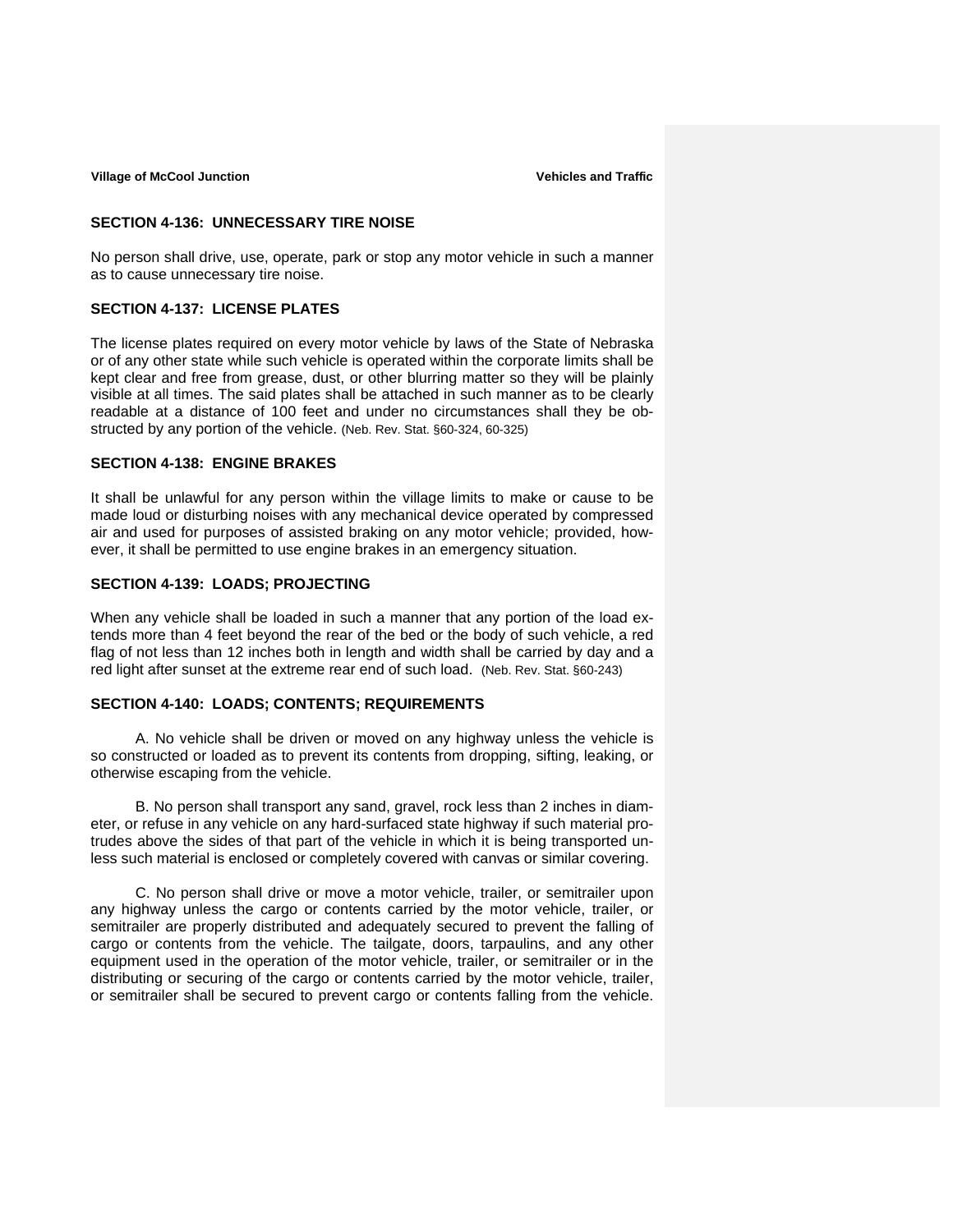#### **SECTION 4-136: UNNECESSARY TIRE NOISE**

No person shall drive, use, operate, park or stop any motor vehicle in such a manner as to cause unnecessary tire noise.

## **SECTION 4-137: LICENSE PLATES**

The license plates required on every motor vehicle by laws of the State of Nebraska or of any other state while such vehicle is operated within the corporate limits shall be kept clear and free from grease, dust, or other blurring matter so they will be plainly visible at all times. The said plates shall be attached in such manner as to be clearly readable at a distance of 100 feet and under no circumstances shall they be obstructed by any portion of the vehicle. (Neb. Rev. Stat. §60-324, 60-325)

## **SECTION 4-138: ENGINE BRAKES**

It shall be unlawful for any person within the village limits to make or cause to be made loud or disturbing noises with any mechanical device operated by compressed air and used for purposes of assisted braking on any motor vehicle; provided, however, it shall be permitted to use engine brakes in an emergency situation.

## **SECTION 4-139: LOADS; PROJECTING**

When any vehicle shall be loaded in such a manner that any portion of the load extends more than 4 feet beyond the rear of the bed or the body of such vehicle, a red flag of not less than 12 inches both in length and width shall be carried by day and a red light after sunset at the extreme rear end of such load. (Neb. Rev. Stat. §60-243)

## **SECTION 4-140: LOADS; CONTENTS; REQUIREMENTS**

A. No vehicle shall be driven or moved on any highway unless the vehicle is so constructed or loaded as to prevent its contents from dropping, sifting, leaking, or otherwise escaping from the vehicle.

B. No person shall transport any sand, gravel, rock less than 2 inches in diameter, or refuse in any vehicle on any hard-surfaced state highway if such material protrudes above the sides of that part of the vehicle in which it is being transported unless such material is enclosed or completely covered with canvas or similar covering.

C. No person shall drive or move a motor vehicle, trailer, or semitrailer upon any highway unless the cargo or contents carried by the motor vehicle, trailer, or semitrailer are properly distributed and adequately secured to prevent the falling of cargo or contents from the vehicle. The tailgate, doors, tarpaulins, and any other equipment used in the operation of the motor vehicle, trailer, or semitrailer or in the distributing or securing of the cargo or contents carried by the motor vehicle, trailer, or semitrailer shall be secured to prevent cargo or contents falling from the vehicle.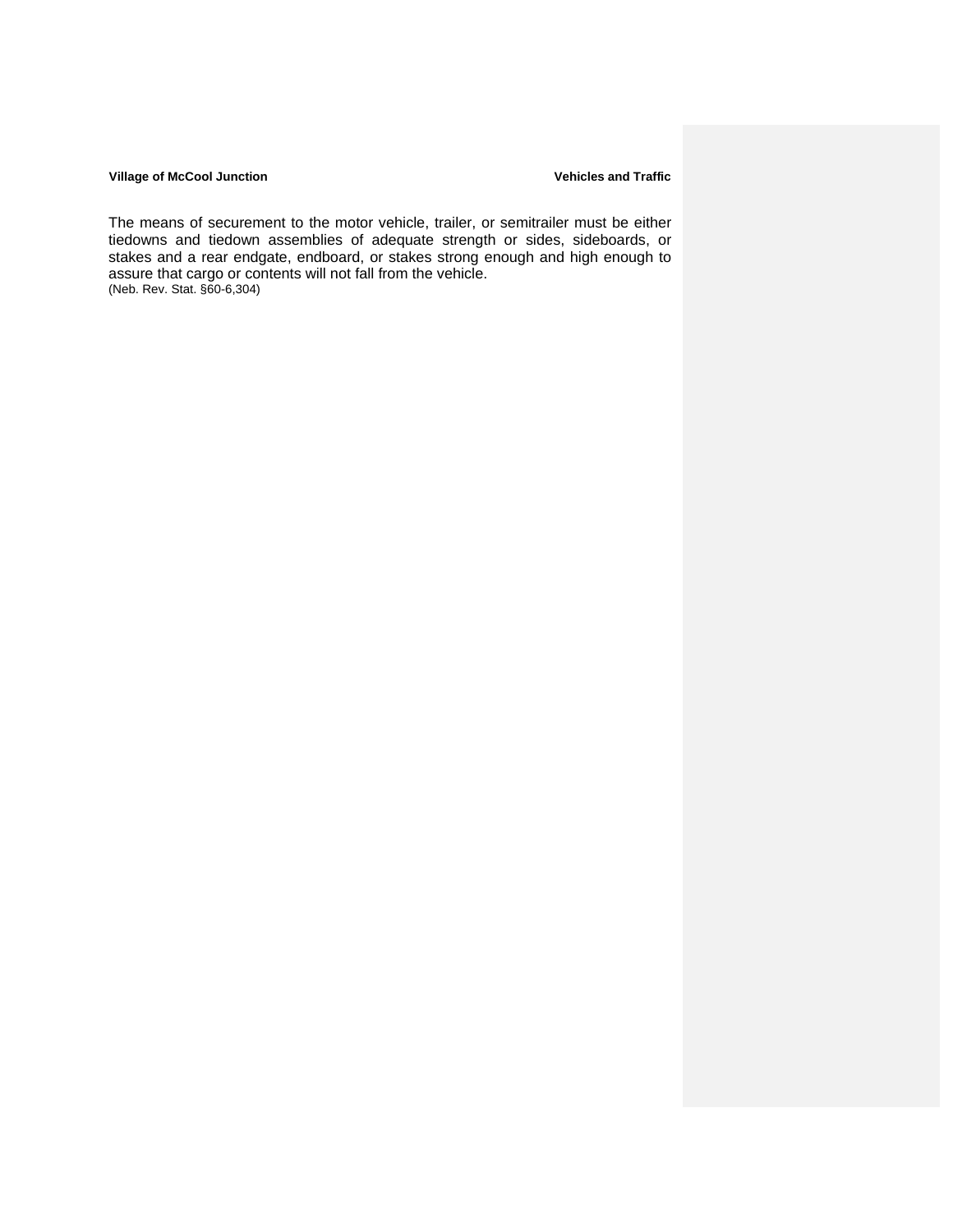#### **Village of McCool Junction Community Community Community Community Community Community Community Community Community Community Community Community Community Community Community Community Community Community Community Comm**

The means of securement to the motor vehicle, trailer, or semitrailer must be either tiedowns and tiedown assemblies of adequate strength or sides, sideboards, or stakes and a rear endgate, endboard, or stakes strong enough and high enough to assure that cargo or contents will not fall from the vehicle. (Neb. Rev. Stat. §60-6,304)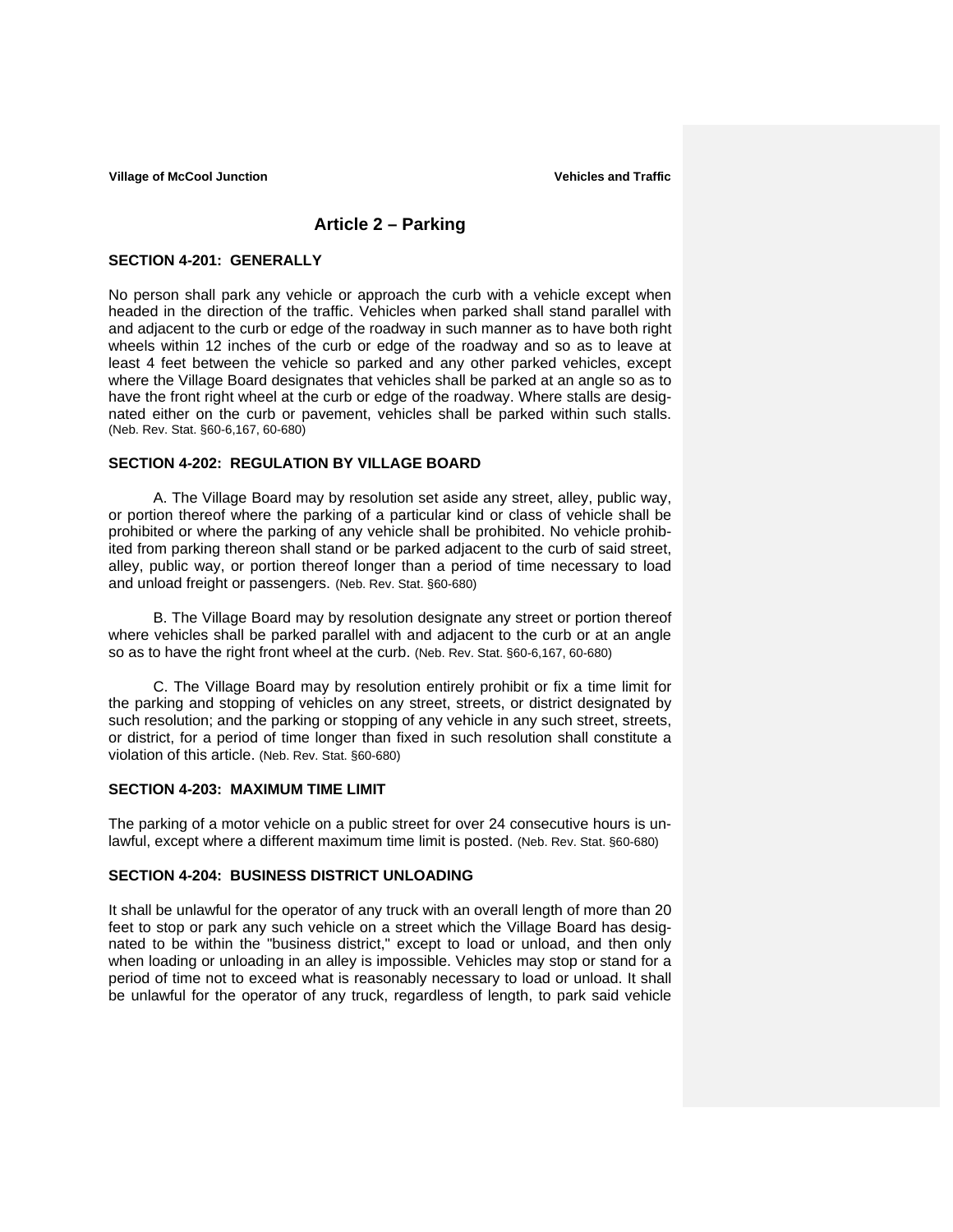# **Article 2 – Parking**

### **SECTION 4-201: GENERALLY**

No person shall park any vehicle or approach the curb with a vehicle except when headed in the direction of the traffic. Vehicles when parked shall stand parallel with and adjacent to the curb or edge of the roadway in such manner as to have both right wheels within 12 inches of the curb or edge of the roadway and so as to leave at least 4 feet between the vehicle so parked and any other parked vehicles, except where the Village Board designates that vehicles shall be parked at an angle so as to have the front right wheel at the curb or edge of the roadway. Where stalls are designated either on the curb or pavement, vehicles shall be parked within such stalls. (Neb. Rev. Stat. §60-6,167, 60-680)

# **SECTION 4-202: REGULATION BY VILLAGE BOARD**

A. The Village Board may by resolution set aside any street, alley, public way, or portion thereof where the parking of a particular kind or class of vehicle shall be prohibited or where the parking of any vehicle shall be prohibited. No vehicle prohibited from parking thereon shall stand or be parked adjacent to the curb of said street, alley, public way, or portion thereof longer than a period of time necessary to load and unload freight or passengers. (Neb. Rev. Stat. §60-680)

B. The Village Board may by resolution designate any street or portion thereof where vehicles shall be parked parallel with and adjacent to the curb or at an angle so as to have the right front wheel at the curb. (Neb. Rev. Stat. §60-6,167, 60-680)

C. The Village Board may by resolution entirely prohibit or fix a time limit for the parking and stopping of vehicles on any street, streets, or district designated by such resolution; and the parking or stopping of any vehicle in any such street, streets, or district, for a period of time longer than fixed in such resolution shall constitute a violation of this article. (Neb. Rev. Stat. §60-680)

#### **SECTION 4-203: MAXIMUM TIME LIMIT**

The parking of a motor vehicle on a public street for over 24 consecutive hours is unlawful, except where a different maximum time limit is posted. (Neb. Rev. Stat. §60-680)

### **SECTION 4-204: BUSINESS DISTRICT UNLOADING**

It shall be unlawful for the operator of any truck with an overall length of more than 20 feet to stop or park any such vehicle on a street which the Village Board has designated to be within the "business district," except to load or unload, and then only when loading or unloading in an alley is impossible. Vehicles may stop or stand for a period of time not to exceed what is reasonably necessary to load or unload. It shall be unlawful for the operator of any truck, regardless of length, to park said vehicle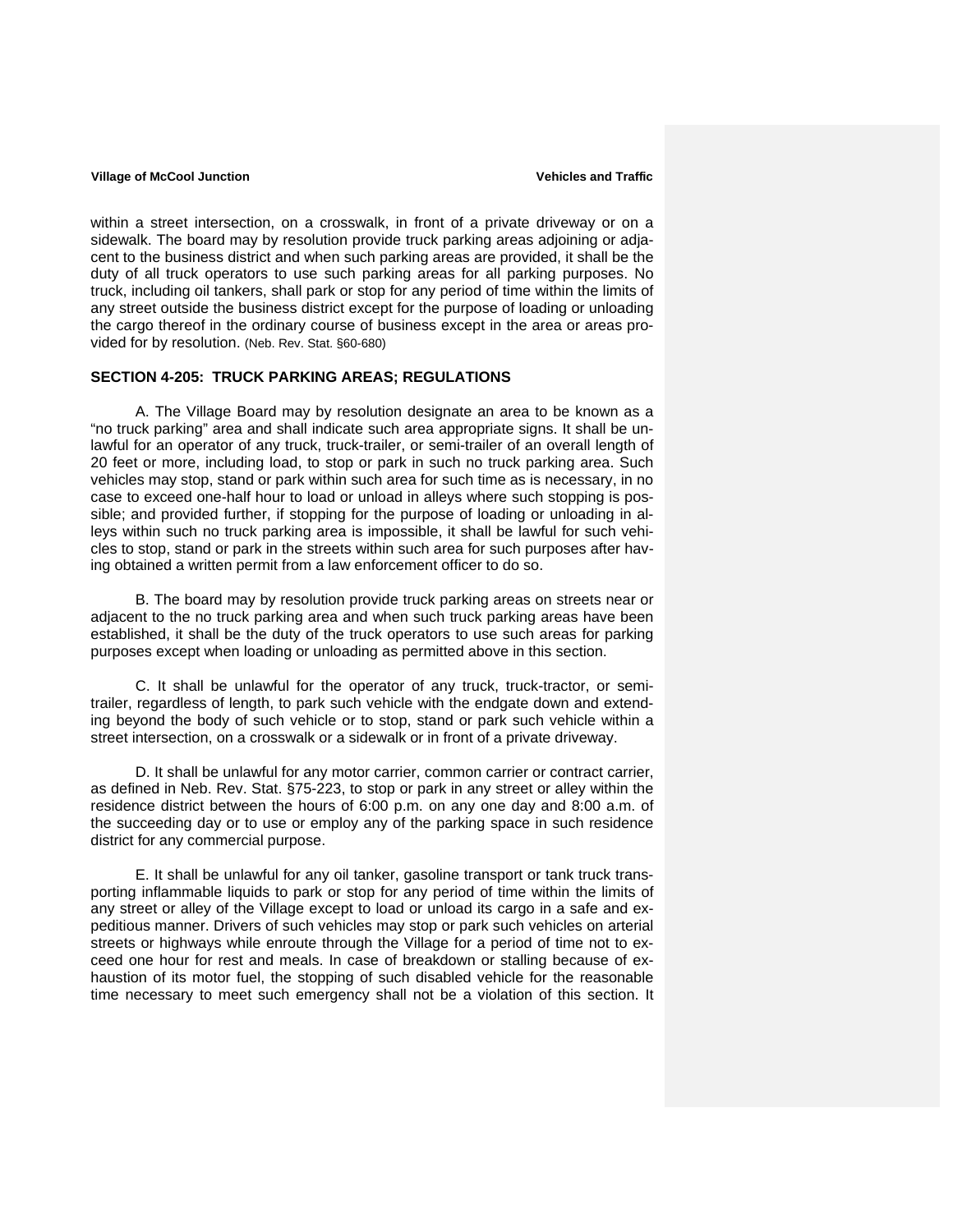within a street intersection, on a crosswalk, in front of a private driveway or on a sidewalk. The board may by resolution provide truck parking areas adjoining or adjacent to the business district and when such parking areas are provided, it shall be the duty of all truck operators to use such parking areas for all parking purposes. No truck, including oil tankers, shall park or stop for any period of time within the limits of any street outside the business district except for the purpose of loading or unloading the cargo thereof in the ordinary course of business except in the area or areas provided for by resolution. (Neb. Rev. Stat. §60-680)

## **SECTION 4-205: TRUCK PARKING AREAS; REGULATIONS**

 A. The Village Board may by resolution designate an area to be known as a "no truck parking" area and shall indicate such area appropriate signs. It shall be unlawful for an operator of any truck, truck-trailer, or semi-trailer of an overall length of 20 feet or more, including load, to stop or park in such no truck parking area. Such vehicles may stop, stand or park within such area for such time as is necessary, in no case to exceed one-half hour to load or unload in alleys where such stopping is possible; and provided further, if stopping for the purpose of loading or unloading in alleys within such no truck parking area is impossible, it shall be lawful for such vehicles to stop, stand or park in the streets within such area for such purposes after having obtained a written permit from a law enforcement officer to do so.

 B. The board may by resolution provide truck parking areas on streets near or adjacent to the no truck parking area and when such truck parking areas have been established, it shall be the duty of the truck operators to use such areas for parking purposes except when loading or unloading as permitted above in this section.

 C. It shall be unlawful for the operator of any truck, truck-tractor, or semitrailer, regardless of length, to park such vehicle with the endgate down and extending beyond the body of such vehicle or to stop, stand or park such vehicle within a street intersection, on a crosswalk or a sidewalk or in front of a private driveway.

D. It shall be unlawful for any motor carrier, common carrier or contract carrier, as defined in Neb. Rev. Stat. §75-223, to stop or park in any street or alley within the residence district between the hours of 6:00 p.m. on any one day and 8:00 a.m. of the succeeding day or to use or employ any of the parking space in such residence district for any commercial purpose.

 E. It shall be unlawful for any oil tanker, gasoline transport or tank truck transporting inflammable liquids to park or stop for any period of time within the limits of any street or alley of the Village except to load or unload its cargo in a safe and expeditious manner. Drivers of such vehicles may stop or park such vehicles on arterial streets or highways while enroute through the Village for a period of time not to exceed one hour for rest and meals. In case of breakdown or stalling because of exhaustion of its motor fuel, the stopping of such disabled vehicle for the reasonable time necessary to meet such emergency shall not be a violation of this section. It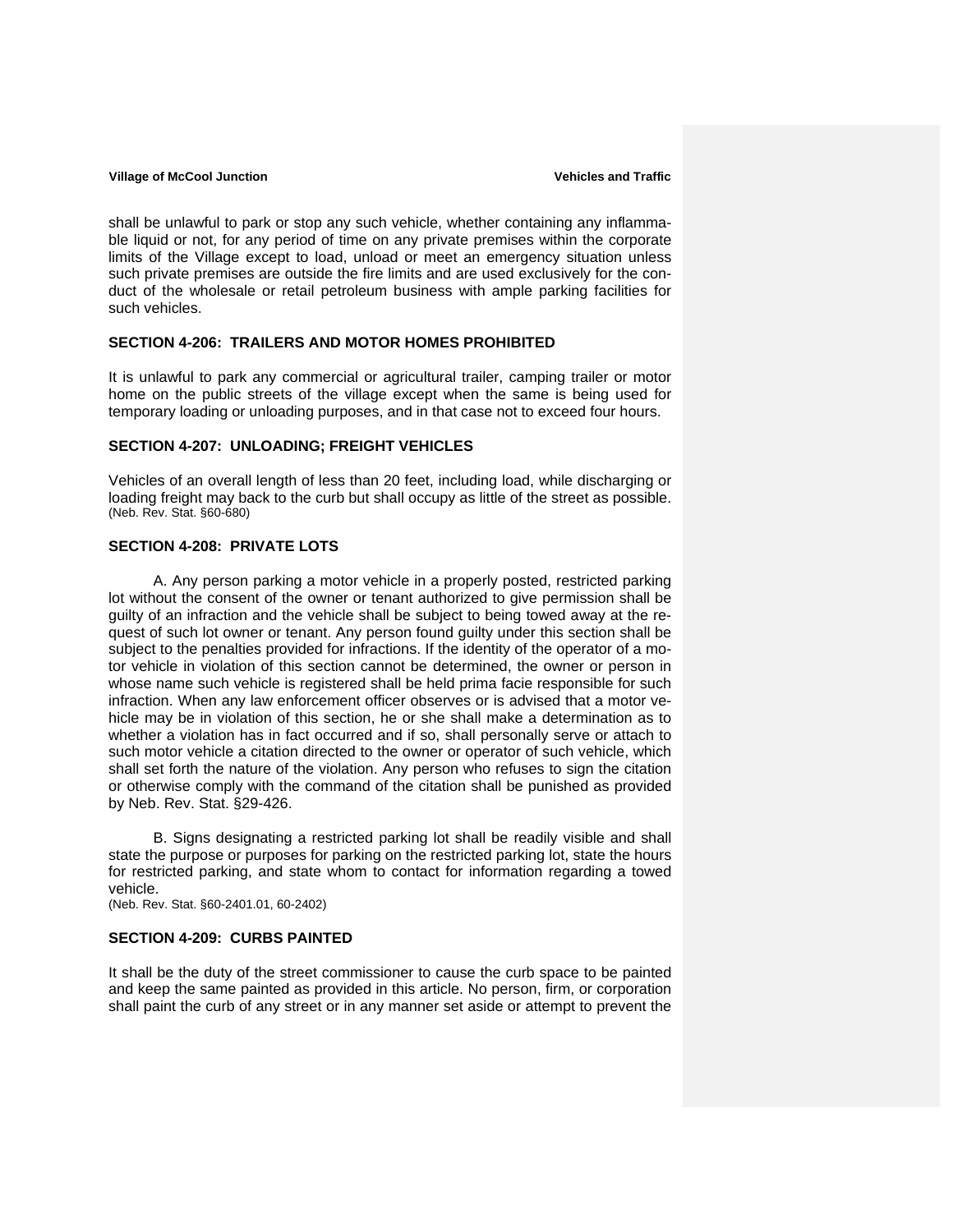shall be unlawful to park or stop any such vehicle, whether containing any inflammable liquid or not, for any period of time on any private premises within the corporate limits of the Village except to load, unload or meet an emergency situation unless such private premises are outside the fire limits and are used exclusively for the conduct of the wholesale or retail petroleum business with ample parking facilities for such vehicles.

#### **SECTION 4-206: TRAILERS AND MOTOR HOMES PROHIBITED**

It is unlawful to park any commercial or agricultural trailer, camping trailer or motor home on the public streets of the village except when the same is being used for temporary loading or unloading purposes, and in that case not to exceed four hours.

## **SECTION 4-207: UNLOADING; FREIGHT VEHICLES**

Vehicles of an overall length of less than 20 feet, including load, while discharging or loading freight may back to the curb but shall occupy as little of the street as possible. (Neb. Rev. Stat. §60-680)

### **SECTION 4-208: PRIVATE LOTS**

 A. Any person parking a motor vehicle in a properly posted, restricted parking lot without the consent of the owner or tenant authorized to give permission shall be guilty of an infraction and the vehicle shall be subject to being towed away at the request of such lot owner or tenant. Any person found guilty under this section shall be subject to the penalties provided for infractions. If the identity of the operator of a motor vehicle in violation of this section cannot be determined, the owner or person in whose name such vehicle is registered shall be held prima facie responsible for such infraction. When any law enforcement officer observes or is advised that a motor vehicle may be in violation of this section, he or she shall make a determination as to whether a violation has in fact occurred and if so, shall personally serve or attach to such motor vehicle a citation directed to the owner or operator of such vehicle, which shall set forth the nature of the violation. Any person who refuses to sign the citation or otherwise comply with the command of the citation shall be punished as provided by Neb. Rev. Stat. §29-426.

 B. Signs designating a restricted parking lot shall be readily visible and shall state the purpose or purposes for parking on the restricted parking lot, state the hours for restricted parking, and state whom to contact for information regarding a towed vehicle.

(Neb. Rev. Stat. §60-2401.01, 60-2402)

#### **SECTION 4-209: CURBS PAINTED**

It shall be the duty of the street commissioner to cause the curb space to be painted and keep the same painted as provided in this article. No person, firm, or corporation shall paint the curb of any street or in any manner set aside or attempt to prevent the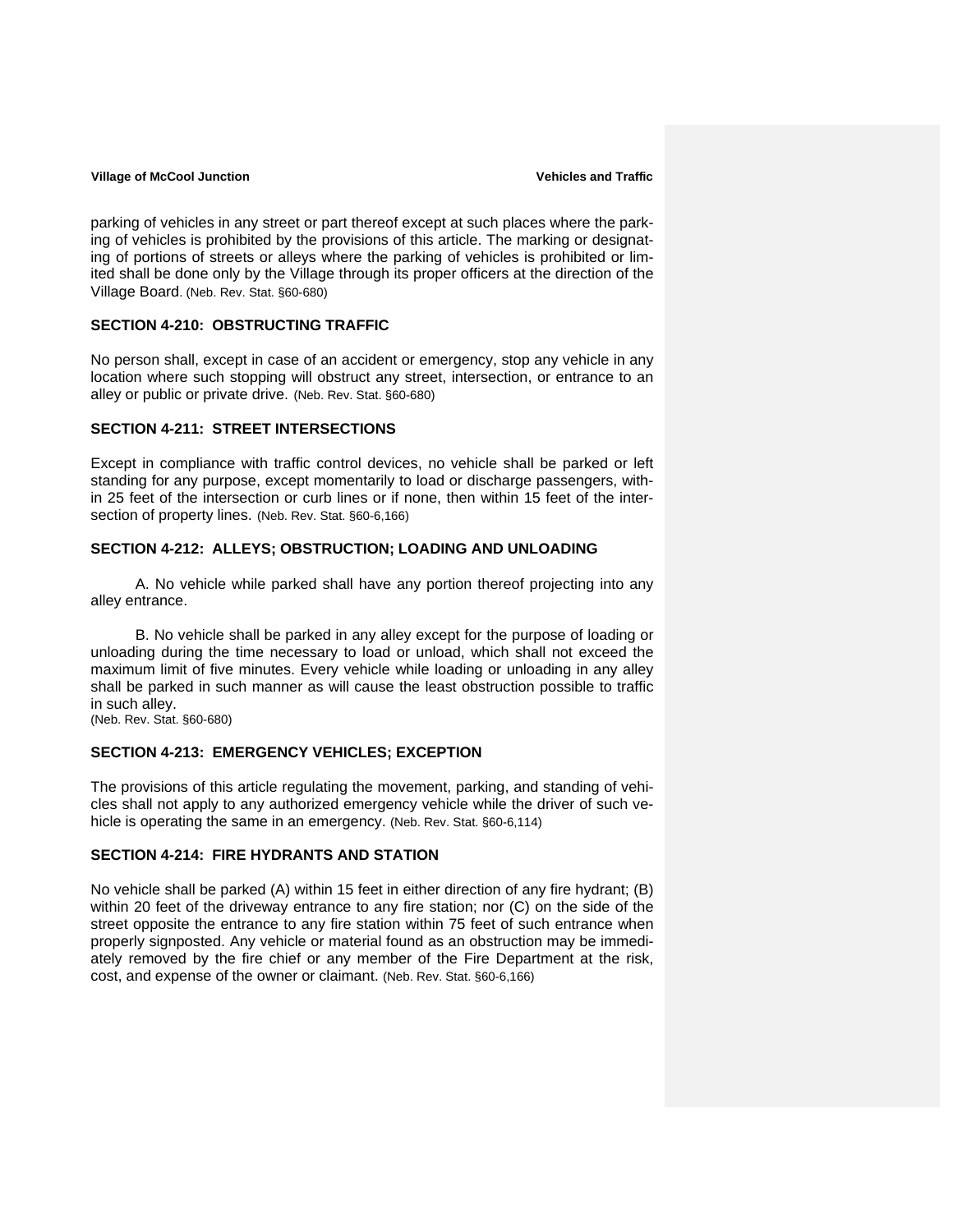parking of vehicles in any street or part thereof except at such places where the parking of vehicles is prohibited by the provisions of this article. The marking or designating of portions of streets or alleys where the parking of vehicles is prohibited or limited shall be done only by the Village through its proper officers at the direction of the Village Board. (Neb. Rev. Stat. §60-680)

#### **SECTION 4-210: OBSTRUCTING TRAFFIC**

No person shall, except in case of an accident or emergency, stop any vehicle in any location where such stopping will obstruct any street, intersection, or entrance to an alley or public or private drive. (Neb. Rev. Stat. §60-680)

## **SECTION 4-211: STREET INTERSECTIONS**

Except in compliance with traffic control devices, no vehicle shall be parked or left standing for any purpose, except momentarily to load or discharge passengers, within 25 feet of the intersection or curb lines or if none, then within 15 feet of the intersection of property lines. (Neb. Rev. Stat. §60-6,166)

## **SECTION 4-212: ALLEYS; OBSTRUCTION; LOADING AND UNLOADING**

A. No vehicle while parked shall have any portion thereof projecting into any alley entrance.

B. No vehicle shall be parked in any alley except for the purpose of loading or unloading during the time necessary to load or unload, which shall not exceed the maximum limit of five minutes. Every vehicle while loading or unloading in any alley shall be parked in such manner as will cause the least obstruction possible to traffic in such alley.

(Neb. Rev. Stat. §60-680)

## **SECTION 4-213: EMERGENCY VEHICLES; EXCEPTION**

The provisions of this article regulating the movement, parking, and standing of vehicles shall not apply to any authorized emergency vehicle while the driver of such vehicle is operating the same in an emergency. (Neb. Rev. Stat. §60-6,114)

## **SECTION 4-214: FIRE HYDRANTS AND STATION**

No vehicle shall be parked (A) within 15 feet in either direction of any fire hydrant; (B) within 20 feet of the driveway entrance to any fire station; nor (C) on the side of the street opposite the entrance to any fire station within 75 feet of such entrance when properly signposted. Any vehicle or material found as an obstruction may be immediately removed by the fire chief or any member of the Fire Department at the risk, cost, and expense of the owner or claimant. (Neb. Rev. Stat. §60-6,166)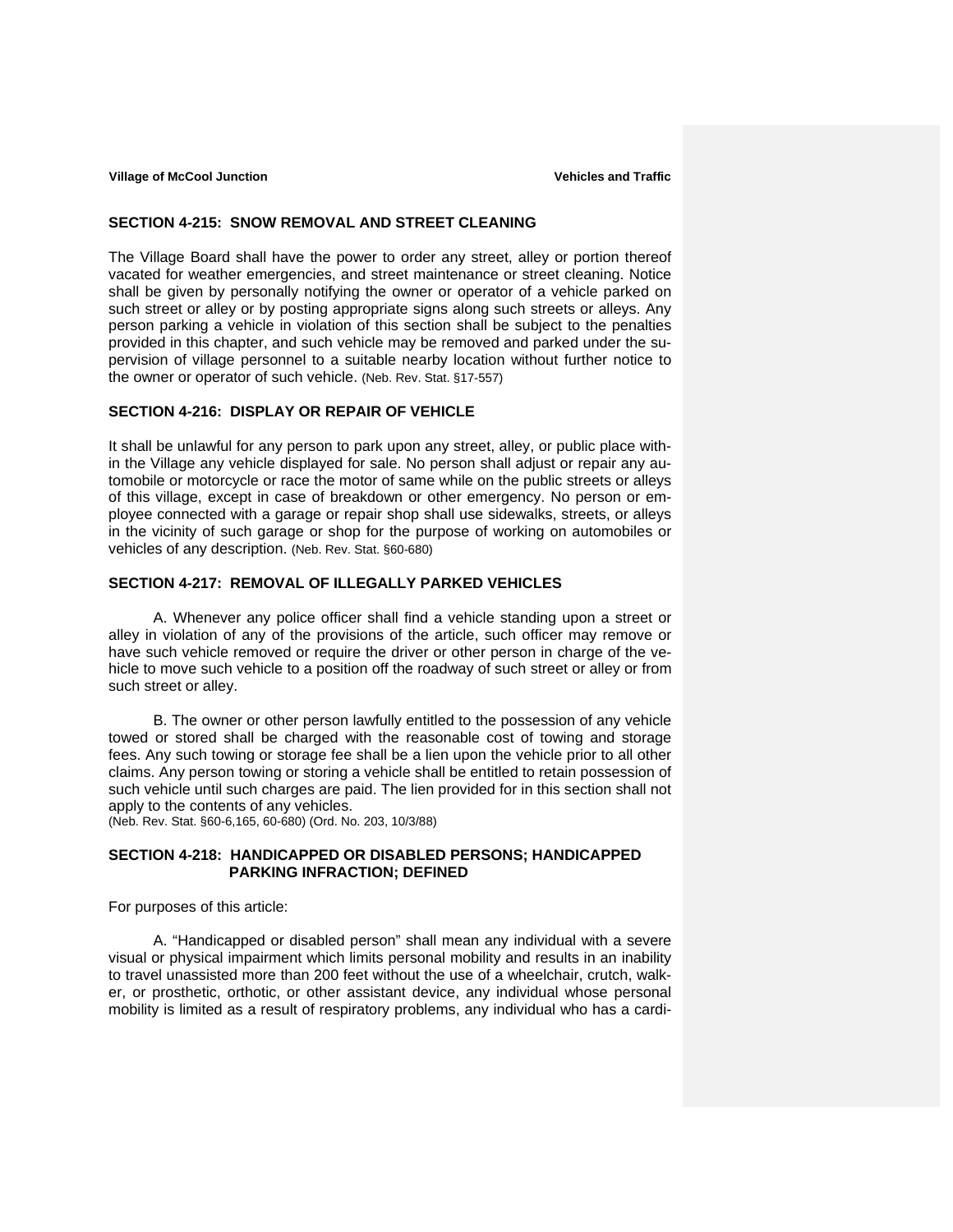#### **SECTION 4-215: SNOW REMOVAL AND STREET CLEANING**

The Village Board shall have the power to order any street, alley or portion thereof vacated for weather emergencies, and street maintenance or street cleaning. Notice shall be given by personally notifying the owner or operator of a vehicle parked on such street or alley or by posting appropriate signs along such streets or alleys. Any person parking a vehicle in violation of this section shall be subject to the penalties provided in this chapter, and such vehicle may be removed and parked under the supervision of village personnel to a suitable nearby location without further notice to the owner or operator of such vehicle. (Neb. Rev. Stat. §17-557)

## **SECTION 4-216: DISPLAY OR REPAIR OF VEHICLE**

It shall be unlawful for any person to park upon any street, alley, or public place within the Village any vehicle displayed for sale. No person shall adjust or repair any automobile or motorcycle or race the motor of same while on the public streets or alleys of this village, except in case of breakdown or other emergency. No person or employee connected with a garage or repair shop shall use sidewalks, streets, or alleys in the vicinity of such garage or shop for the purpose of working on automobiles or vehicles of any description. (Neb. Rev. Stat. §60-680)

## **SECTION 4-217: REMOVAL OF ILLEGALLY PARKED VEHICLES**

 A. Whenever any police officer shall find a vehicle standing upon a street or alley in violation of any of the provisions of the article, such officer may remove or have such vehicle removed or require the driver or other person in charge of the vehicle to move such vehicle to a position off the roadway of such street or alley or from such street or alley.

 B. The owner or other person lawfully entitled to the possession of any vehicle towed or stored shall be charged with the reasonable cost of towing and storage fees. Any such towing or storage fee shall be a lien upon the vehicle prior to all other claims. Any person towing or storing a vehicle shall be entitled to retain possession of such vehicle until such charges are paid. The lien provided for in this section shall not apply to the contents of any vehicles.

(Neb. Rev. Stat. §60-6,165, 60-680) (Ord. No. 203, 10/3/88)

## **SECTION 4-218: HANDICAPPED OR DISABLED PERSONS; HANDICAPPED PARKING INFRACTION; DEFINED**

For purposes of this article:

 A. "Handicapped or disabled person" shall mean any individual with a severe visual or physical impairment which limits personal mobility and results in an inability to travel unassisted more than 200 feet without the use of a wheelchair, crutch, walker, or prosthetic, orthotic, or other assistant device, any individual whose personal mobility is limited as a result of respiratory problems, any individual who has a cardi-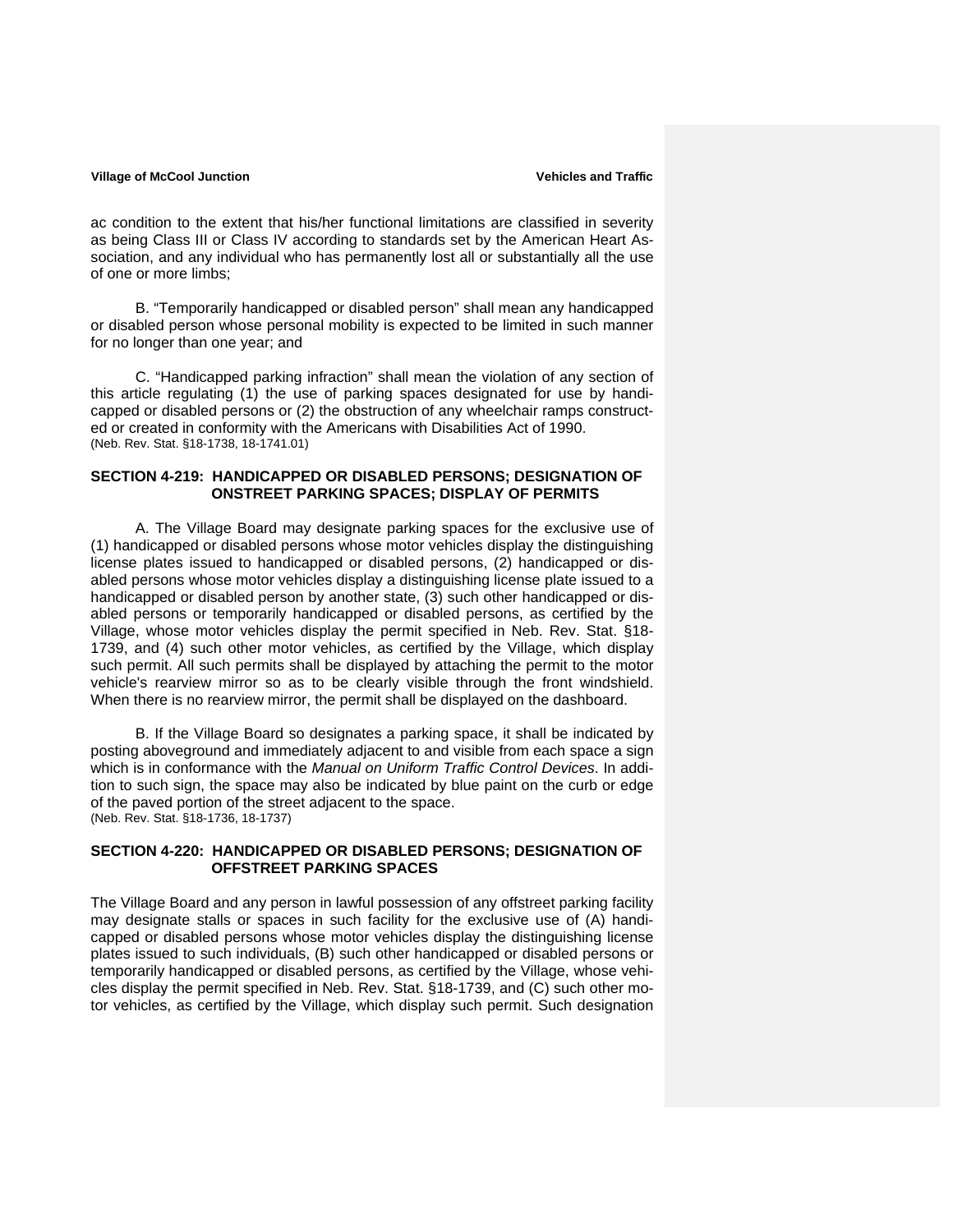ac condition to the extent that his/her functional limitations are classified in severity as being Class III or Class IV according to standards set by the American Heart Association, and any individual who has permanently lost all or substantially all the use of one or more limbs;

 B. "Temporarily handicapped or disabled person" shall mean any handicapped or disabled person whose personal mobility is expected to be limited in such manner for no longer than one year; and

 C. "Handicapped parking infraction" shall mean the violation of any section of this article regulating (1) the use of parking spaces designated for use by handicapped or disabled persons or (2) the obstruction of any wheelchair ramps constructed or created in conformity with the Americans with Disabilities Act of 1990. (Neb. Rev. Stat. §18-1738, 18-1741.01)

### **SECTION 4-219: HANDICAPPED OR DISABLED PERSONS; DESIGNATION OF ONSTREET PARKING SPACES; DISPLAY OF PERMITS**

 A. The Village Board may designate parking spaces for the exclusive use of (1) handicapped or disabled persons whose motor vehicles display the distinguishing license plates issued to handicapped or disabled persons, (2) handicapped or disabled persons whose motor vehicles display a distinguishing license plate issued to a handicapped or disabled person by another state, (3) such other handicapped or disabled persons or temporarily handicapped or disabled persons, as certified by the Village, whose motor vehicles display the permit specified in Neb. Rev. Stat. §18- 1739, and (4) such other motor vehicles, as certified by the Village, which display such permit. All such permits shall be displayed by attaching the permit to the motor vehicle's rearview mirror so as to be clearly visible through the front windshield. When there is no rearview mirror, the permit shall be displayed on the dashboard.

 B. If the Village Board so designates a parking space, it shall be indicated by posting aboveground and immediately adjacent to and visible from each space a sign which is in conformance with the *Manual on Uniform Traffic Control Devices*. In addition to such sign, the space may also be indicated by blue paint on the curb or edge of the paved portion of the street adjacent to the space. (Neb. Rev. Stat. §18-1736, 18-1737)

## **SECTION 4-220: HANDICAPPED OR DISABLED PERSONS; DESIGNATION OF OFFSTREET PARKING SPACES**

The Village Board and any person in lawful possession of any offstreet parking facility may designate stalls or spaces in such facility for the exclusive use of (A) handicapped or disabled persons whose motor vehicles display the distinguishing license plates issued to such individuals, (B) such other handicapped or disabled persons or temporarily handicapped or disabled persons, as certified by the Village, whose vehicles display the permit specified in Neb. Rev. Stat. §18-1739, and (C) such other motor vehicles, as certified by the Village, which display such permit. Such designation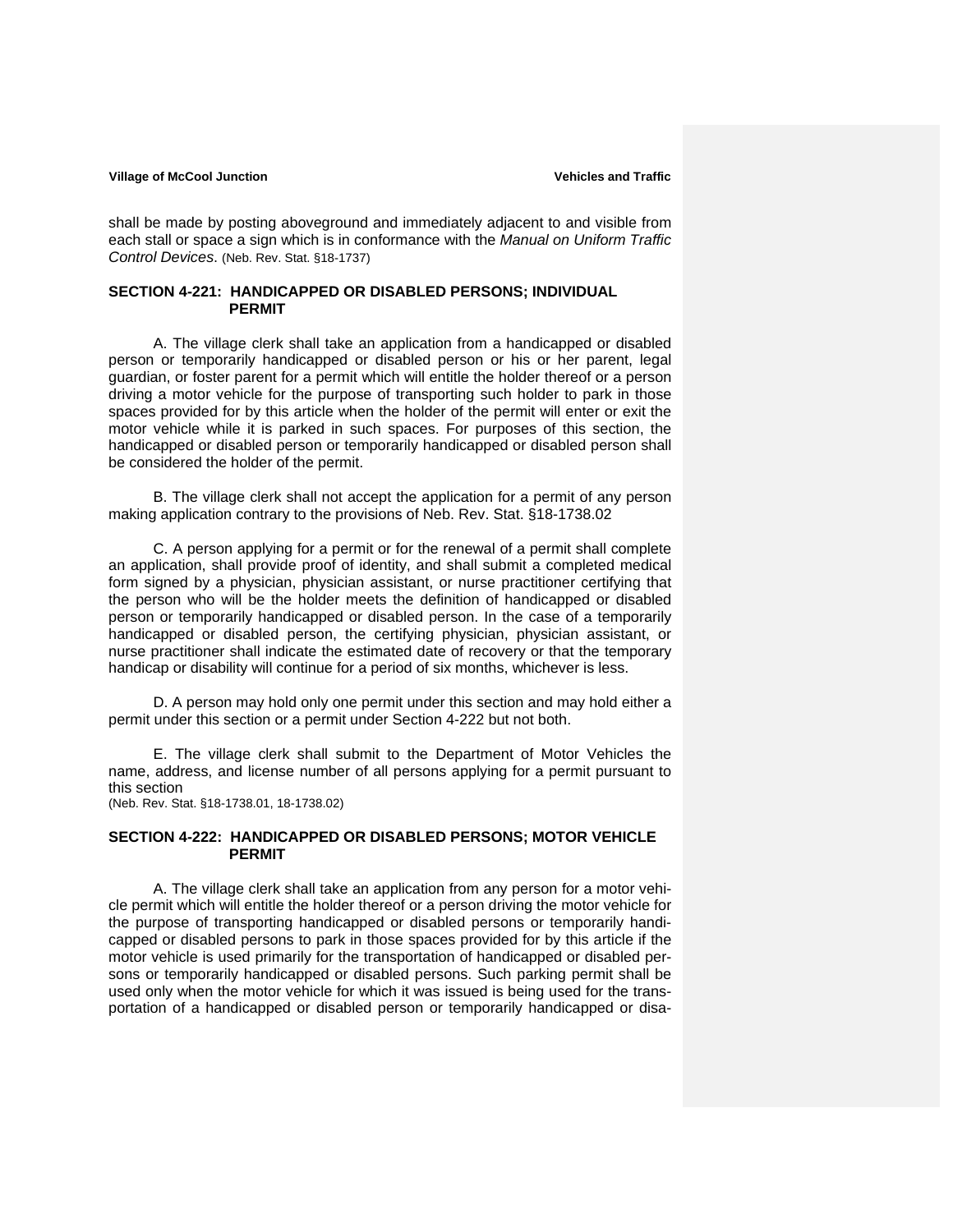shall be made by posting aboveground and immediately adjacent to and visible from each stall or space a sign which is in conformance with the *Manual on Uniform Traffic Control Devices*. (Neb. Rev. Stat. §18-1737)

### **SECTION 4-221: HANDICAPPED OR DISABLED PERSONS; INDIVIDUAL PERMIT**

 A. The village clerk shall take an application from a handicapped or disabled person or temporarily handicapped or disabled person or his or her parent, legal guardian, or foster parent for a permit which will entitle the holder thereof or a person driving a motor vehicle for the purpose of transporting such holder to park in those spaces provided for by this article when the holder of the permit will enter or exit the motor vehicle while it is parked in such spaces. For purposes of this section, the handicapped or disabled person or temporarily handicapped or disabled person shall be considered the holder of the permit.

 B. The village clerk shall not accept the application for a permit of any person making application contrary to the provisions of Neb. Rev. Stat. §18-1738.02

 C. A person applying for a permit or for the renewal of a permit shall complete an application, shall provide proof of identity, and shall submit a completed medical form signed by a physician, physician assistant, or nurse practitioner certifying that the person who will be the holder meets the definition of handicapped or disabled person or temporarily handicapped or disabled person. In the case of a temporarily handicapped or disabled person, the certifying physician, physician assistant, or nurse practitioner shall indicate the estimated date of recovery or that the temporary handicap or disability will continue for a period of six months, whichever is less.

 D. A person may hold only one permit under this section and may hold either a permit under this section or a permit under Section 4-222 but not both.

 E. The village clerk shall submit to the Department of Motor Vehicles the name, address, and license number of all persons applying for a permit pursuant to this section (Neb. Rev. Stat. §18-1738.01, 18-1738.02)

#### **SECTION 4-222: HANDICAPPED OR DISABLED PERSONS; MOTOR VEHICLE PERMIT**

 A. The village clerk shall take an application from any person for a motor vehicle permit which will entitle the holder thereof or a person driving the motor vehicle for the purpose of transporting handicapped or disabled persons or temporarily handicapped or disabled persons to park in those spaces provided for by this article if the motor vehicle is used primarily for the transportation of handicapped or disabled persons or temporarily handicapped or disabled persons. Such parking permit shall be used only when the motor vehicle for which it was issued is being used for the transportation of a handicapped or disabled person or temporarily handicapped or disa-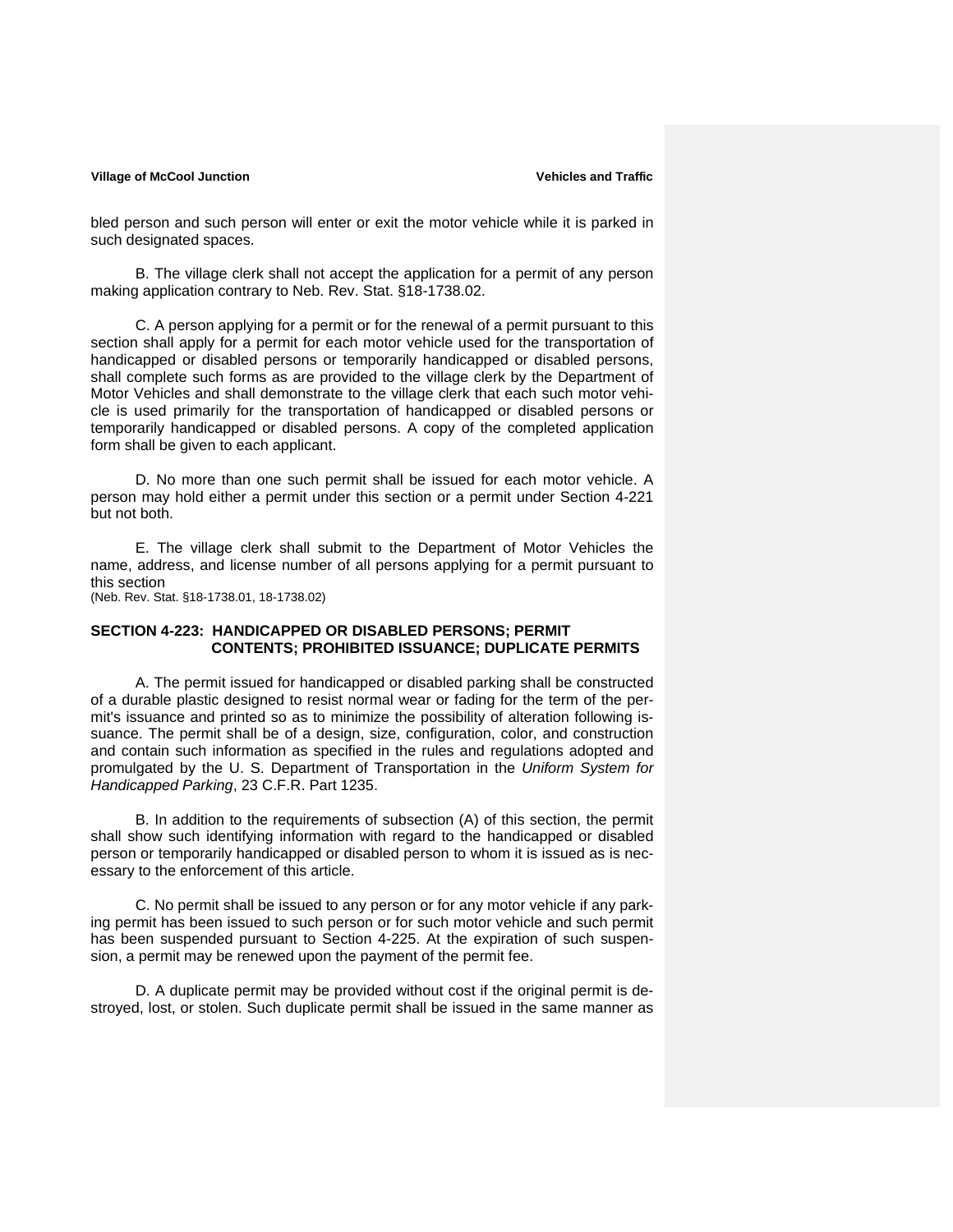bled person and such person will enter or exit the motor vehicle while it is parked in such designated spaces.

 B. The village clerk shall not accept the application for a permit of any person making application contrary to Neb. Rev. Stat. §18-1738.02.

 C. A person applying for a permit or for the renewal of a permit pursuant to this section shall apply for a permit for each motor vehicle used for the transportation of handicapped or disabled persons or temporarily handicapped or disabled persons, shall complete such forms as are provided to the village clerk by the Department of Motor Vehicles and shall demonstrate to the village clerk that each such motor vehicle is used primarily for the transportation of handicapped or disabled persons or temporarily handicapped or disabled persons. A copy of the completed application form shall be given to each applicant.

 D. No more than one such permit shall be issued for each motor vehicle. A person may hold either a permit under this section or a permit under Section 4-221 but not both.

 E. The village clerk shall submit to the Department of Motor Vehicles the name, address, and license number of all persons applying for a permit pursuant to this section

(Neb. Rev. Stat. §18-1738.01, 18-1738.02)

### **SECTION 4-223: HANDICAPPED OR DISABLED PERSONS; PERMIT CONTENTS; PROHIBITED ISSUANCE; DUPLICATE PERMITS**

 A. The permit issued for handicapped or disabled parking shall be constructed of a durable plastic designed to resist normal wear or fading for the term of the permit's issuance and printed so as to minimize the possibility of alteration following issuance. The permit shall be of a design, size, configuration, color, and construction and contain such information as specified in the rules and regulations adopted and promulgated by the U. S. Department of Transportation in the *Uniform System for Handicapped Parking*, 23 C.F.R. Part 1235.

 B. In addition to the requirements of subsection (A) of this section, the permit shall show such identifying information with regard to the handicapped or disabled person or temporarily handicapped or disabled person to whom it is issued as is necessary to the enforcement of this article.

 C. No permit shall be issued to any person or for any motor vehicle if any parking permit has been issued to such person or for such motor vehicle and such permit has been suspended pursuant to Section 4-225. At the expiration of such suspension, a permit may be renewed upon the payment of the permit fee.

 D. A duplicate permit may be provided without cost if the original permit is destroyed, lost, or stolen. Such duplicate permit shall be issued in the same manner as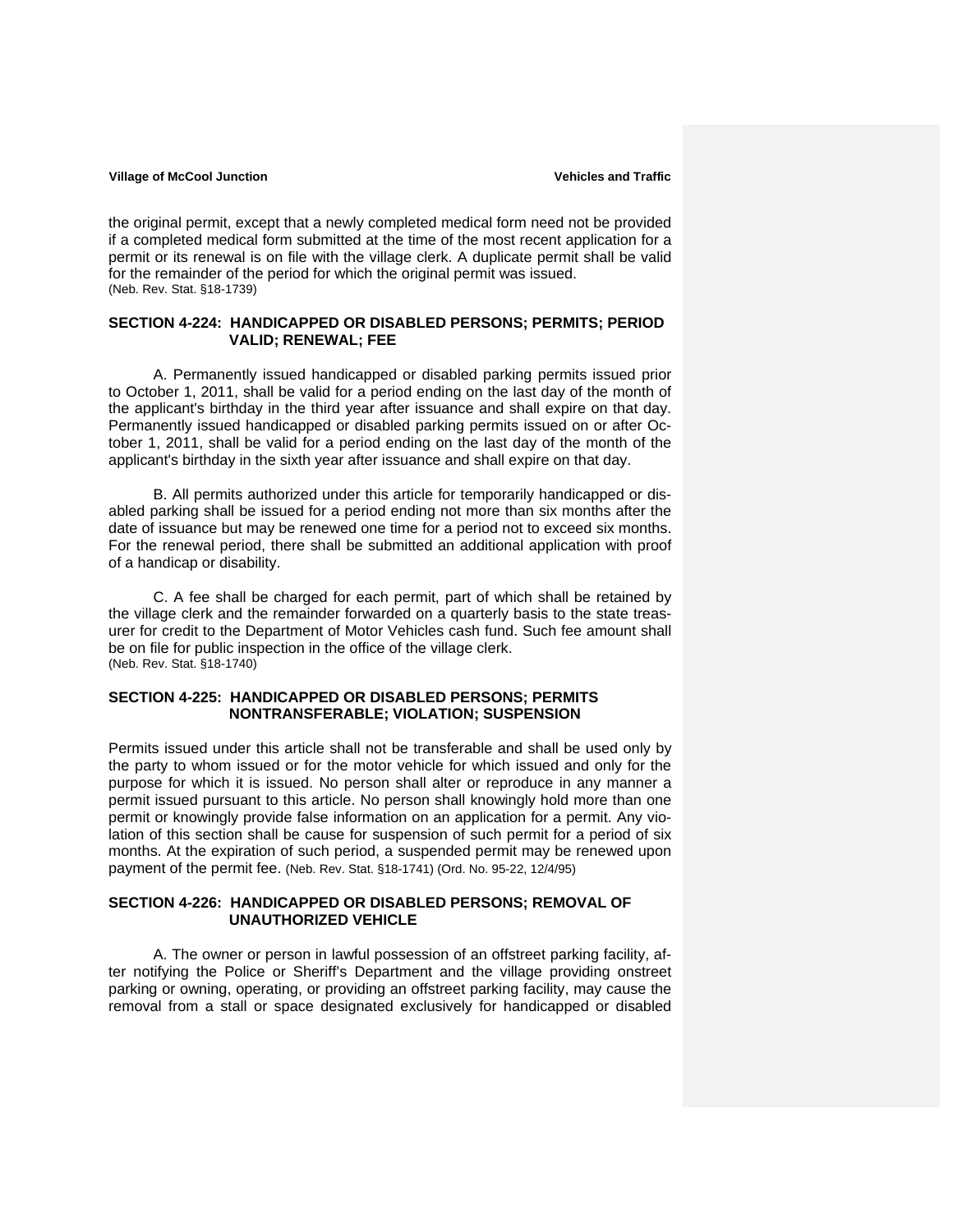the original permit, except that a newly completed medical form need not be provided if a completed medical form submitted at the time of the most recent application for a permit or its renewal is on file with the village clerk. A duplicate permit shall be valid for the remainder of the period for which the original permit was issued. (Neb. Rev. Stat. §18-1739)

## **SECTION 4-224: HANDICAPPED OR DISABLED PERSONS; PERMITS; PERIOD VALID; RENEWAL; FEE**

 A. Permanently issued handicapped or disabled parking permits issued prior to October 1, 2011, shall be valid for a period ending on the last day of the month of the applicant's birthday in the third year after issuance and shall expire on that day. Permanently issued handicapped or disabled parking permits issued on or after October 1, 2011, shall be valid for a period ending on the last day of the month of the applicant's birthday in the sixth year after issuance and shall expire on that day.

 B. All permits authorized under this article for temporarily handicapped or disabled parking shall be issued for a period ending not more than six months after the date of issuance but may be renewed one time for a period not to exceed six months. For the renewal period, there shall be submitted an additional application with proof of a handicap or disability.

 C. A fee shall be charged for each permit, part of which shall be retained by the village clerk and the remainder forwarded on a quarterly basis to the state treasurer for credit to the Department of Motor Vehicles cash fund. Such fee amount shall be on file for public inspection in the office of the village clerk. (Neb. Rev. Stat. §18-1740)

## **SECTION 4-225: HANDICAPPED OR DISABLED PERSONS; PERMITS NONTRANSFERABLE; VIOLATION; SUSPENSION**

Permits issued under this article shall not be transferable and shall be used only by the party to whom issued or for the motor vehicle for which issued and only for the purpose for which it is issued. No person shall alter or reproduce in any manner a permit issued pursuant to this article. No person shall knowingly hold more than one permit or knowingly provide false information on an application for a permit. Any violation of this section shall be cause for suspension of such permit for a period of six months. At the expiration of such period, a suspended permit may be renewed upon payment of the permit fee. (Neb. Rev. Stat. §18-1741) (Ord. No. 95-22, 12/4/95)

#### **SECTION 4-226: HANDICAPPED OR DISABLED PERSONS; REMOVAL OF UNAUTHORIZED VEHICLE**

 A. The owner or person in lawful possession of an offstreet parking facility, after notifying the Police or Sheriff's Department and the village providing onstreet parking or owning, operating, or providing an offstreet parking facility, may cause the removal from a stall or space designated exclusively for handicapped or disabled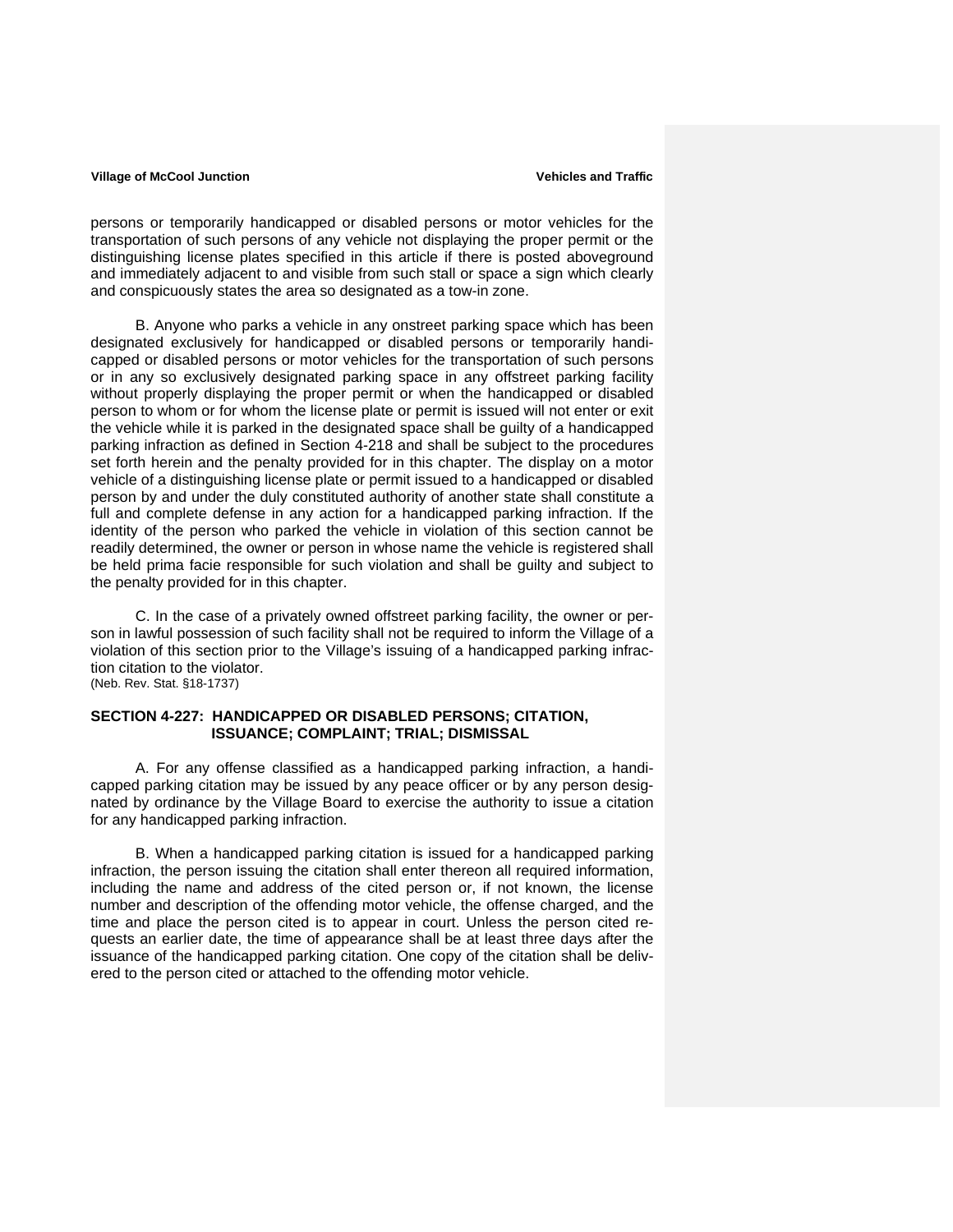persons or temporarily handicapped or disabled persons or motor vehicles for the transportation of such persons of any vehicle not displaying the proper permit or the distinguishing license plates specified in this article if there is posted aboveground and immediately adjacent to and visible from such stall or space a sign which clearly and conspicuously states the area so designated as a tow-in zone.

 B. Anyone who parks a vehicle in any onstreet parking space which has been designated exclusively for handicapped or disabled persons or temporarily handicapped or disabled persons or motor vehicles for the transportation of such persons or in any so exclusively designated parking space in any offstreet parking facility without properly displaying the proper permit or when the handicapped or disabled person to whom or for whom the license plate or permit is issued will not enter or exit the vehicle while it is parked in the designated space shall be guilty of a handicapped parking infraction as defined in Section 4-218 and shall be subject to the procedures set forth herein and the penalty provided for in this chapter. The display on a motor vehicle of a distinguishing license plate or permit issued to a handicapped or disabled person by and under the duly constituted authority of another state shall constitute a full and complete defense in any action for a handicapped parking infraction. If the identity of the person who parked the vehicle in violation of this section cannot be readily determined, the owner or person in whose name the vehicle is registered shall be held prima facie responsible for such violation and shall be guilty and subject to the penalty provided for in this chapter.

 C. In the case of a privately owned offstreet parking facility, the owner or person in lawful possession of such facility shall not be required to inform the Village of a violation of this section prior to the Village's issuing of a handicapped parking infraction citation to the violator. (Neb. Rev. Stat. §18-1737)

### **SECTION 4-227: HANDICAPPED OR DISABLED PERSONS; CITATION, ISSUANCE; COMPLAINT; TRIAL; DISMISSAL**

 A. For any offense classified as a handicapped parking infraction, a handicapped parking citation may be issued by any peace officer or by any person designated by ordinance by the Village Board to exercise the authority to issue a citation for any handicapped parking infraction.

 B. When a handicapped parking citation is issued for a handicapped parking infraction, the person issuing the citation shall enter thereon all required information, including the name and address of the cited person or, if not known, the license number and description of the offending motor vehicle, the offense charged, and the time and place the person cited is to appear in court. Unless the person cited requests an earlier date, the time of appearance shall be at least three days after the issuance of the handicapped parking citation. One copy of the citation shall be delivered to the person cited or attached to the offending motor vehicle.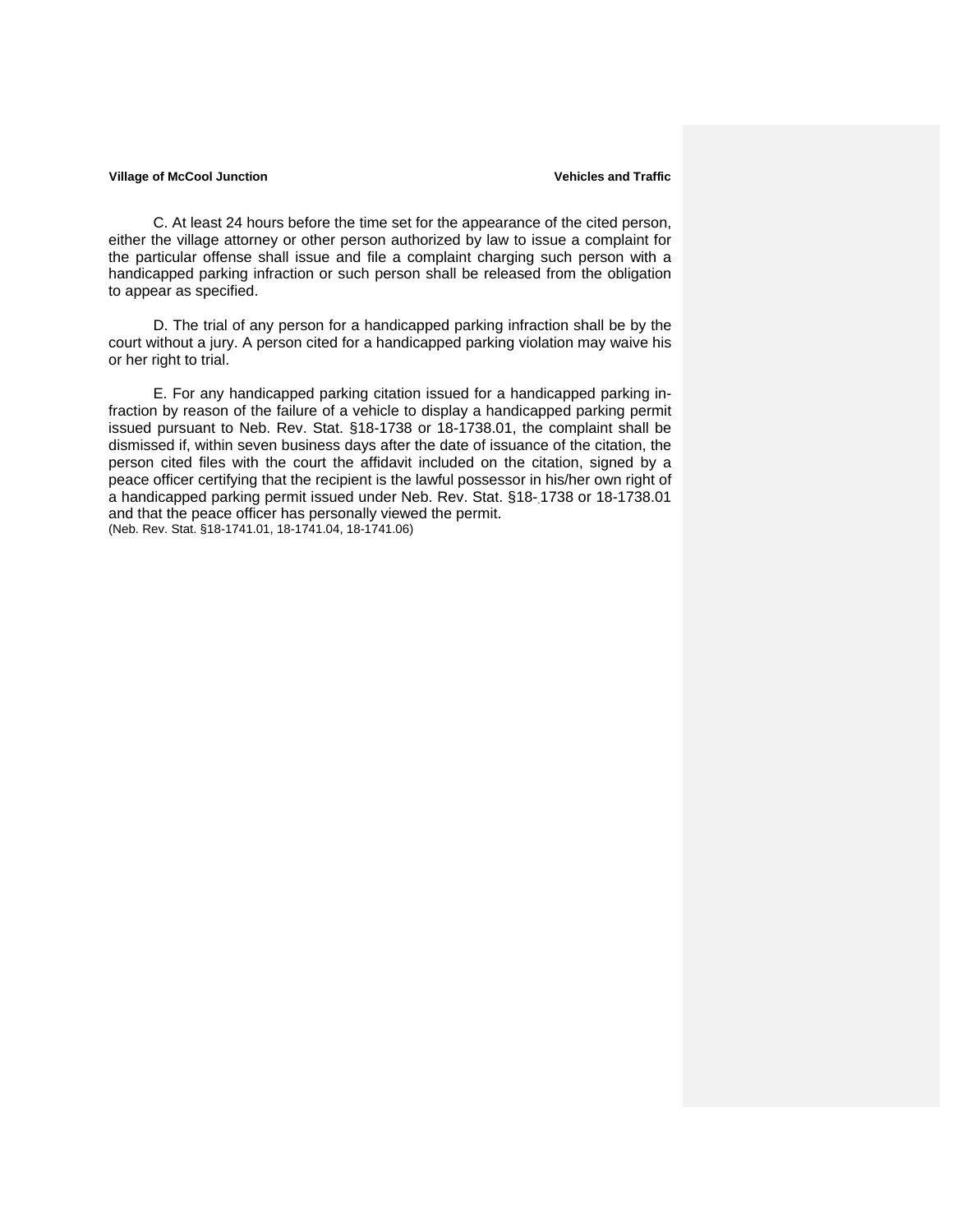C. At least 24 hours before the time set for the appearance of the cited person, either the village attorney or other person authorized by law to issue a complaint for the particular offense shall issue and file a complaint charging such person with a handicapped parking infraction or such person shall be released from the obligation to appear as specified.

 D. The trial of any person for a handicapped parking infraction shall be by the court without a jury. A person cited for a handicapped parking violation may waive his or her right to trial.

 E. For any handicapped parking citation issued for a handicapped parking infraction by reason of the failure of a vehicle to display a handicapped parking permit issued pursuant to Neb. Rev. Stat. §18-1738 or 18-1738.01, the complaint shall be dismissed if, within seven business days after the date of issuance of the citation, the person cited files with the court the affidavit included on the citation, signed by a peace officer certifying that the recipient is the lawful possessor in his/her own right of a handicapped parking permit issued under Neb. Rev. Stat. §18-1738 or 18-1738.01 and that the peace officer has personally viewed the permit. (Neb. Rev. Stat. §18-1741.01, 18-1741.04, 18-1741.06)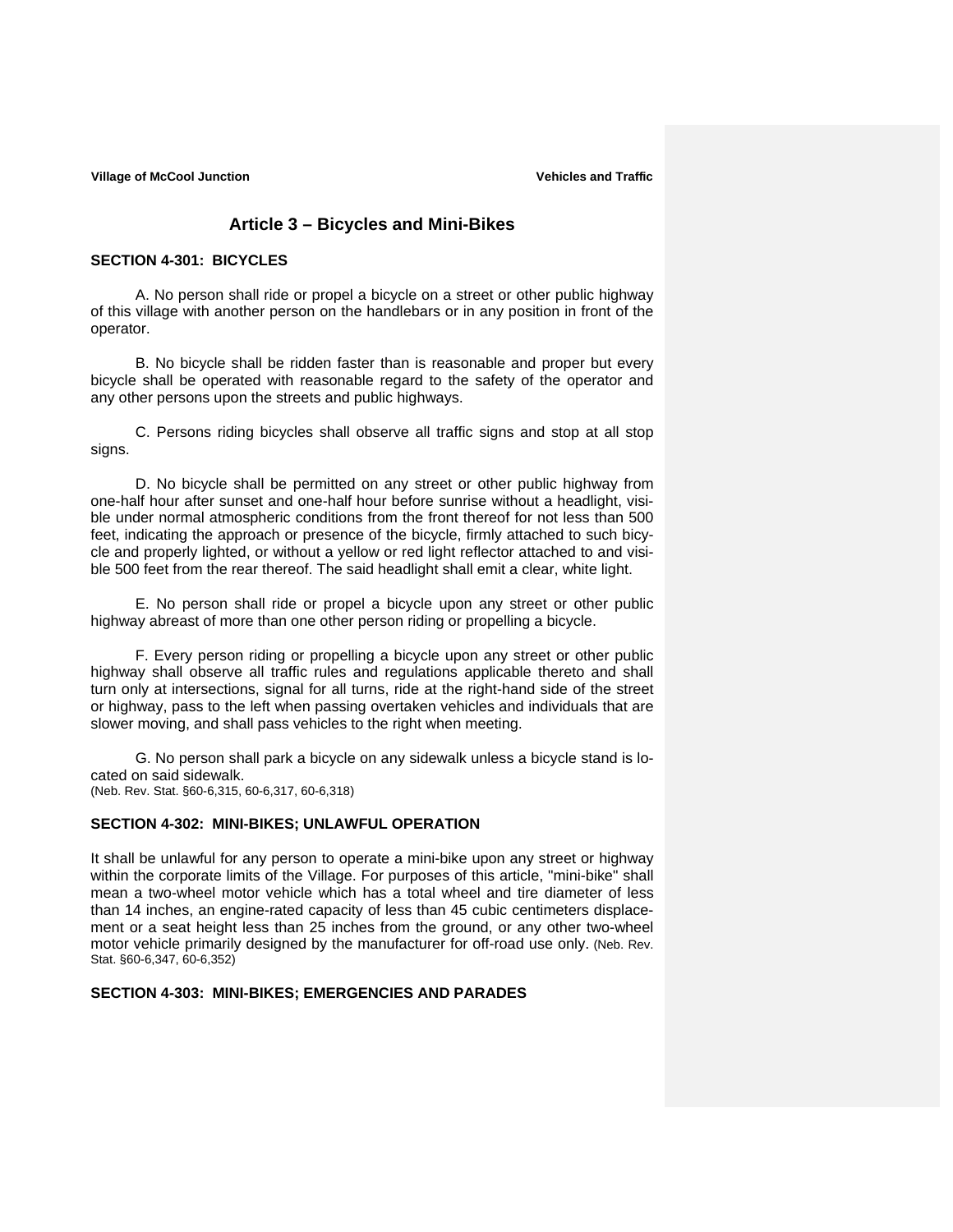# **Article 3 – Bicycles and Mini-Bikes**

### **SECTION 4-301: BICYCLES**

A. No person shall ride or propel a bicycle on a street or other public highway of this village with another person on the handlebars or in any position in front of the operator.

B. No bicycle shall be ridden faster than is reasonable and proper but every bicycle shall be operated with reasonable regard to the safety of the operator and any other persons upon the streets and public highways.

C. Persons riding bicycles shall observe all traffic signs and stop at all stop signs.

D. No bicycle shall be permitted on any street or other public highway from one-half hour after sunset and one-half hour before sunrise without a headlight, visible under normal atmospheric conditions from the front thereof for not less than 500 feet, indicating the approach or presence of the bicycle, firmly attached to such bicycle and properly lighted, or without a yellow or red light reflector attached to and visible 500 feet from the rear thereof. The said headlight shall emit a clear, white light.

E. No person shall ride or propel a bicycle upon any street or other public highway abreast of more than one other person riding or propelling a bicycle.

F. Every person riding or propelling a bicycle upon any street or other public highway shall observe all traffic rules and regulations applicable thereto and shall turn only at intersections, signal for all turns, ride at the right-hand side of the street or highway, pass to the left when passing overtaken vehicles and individuals that are slower moving, and shall pass vehicles to the right when meeting.

G. No person shall park a bicycle on any sidewalk unless a bicycle stand is located on said sidewalk. (Neb. Rev. Stat. §60-6,315, 60-6,317, 60-6,318)

#### **SECTION 4-302: MINI-BIKES; UNLAWFUL OPERATION**

It shall be unlawful for any person to operate a mini-bike upon any street or highway within the corporate limits of the Village. For purposes of this article, "mini-bike" shall mean a two-wheel motor vehicle which has a total wheel and tire diameter of less than 14 inches, an engine-rated capacity of less than 45 cubic centimeters displacement or a seat height less than 25 inches from the ground, or any other two-wheel motor vehicle primarily designed by the manufacturer for off-road use only. (Neb. Rev. Stat. §60-6,347, 60-6,352)

#### **SECTION 4-303: MINI-BIKES; EMERGENCIES AND PARADES**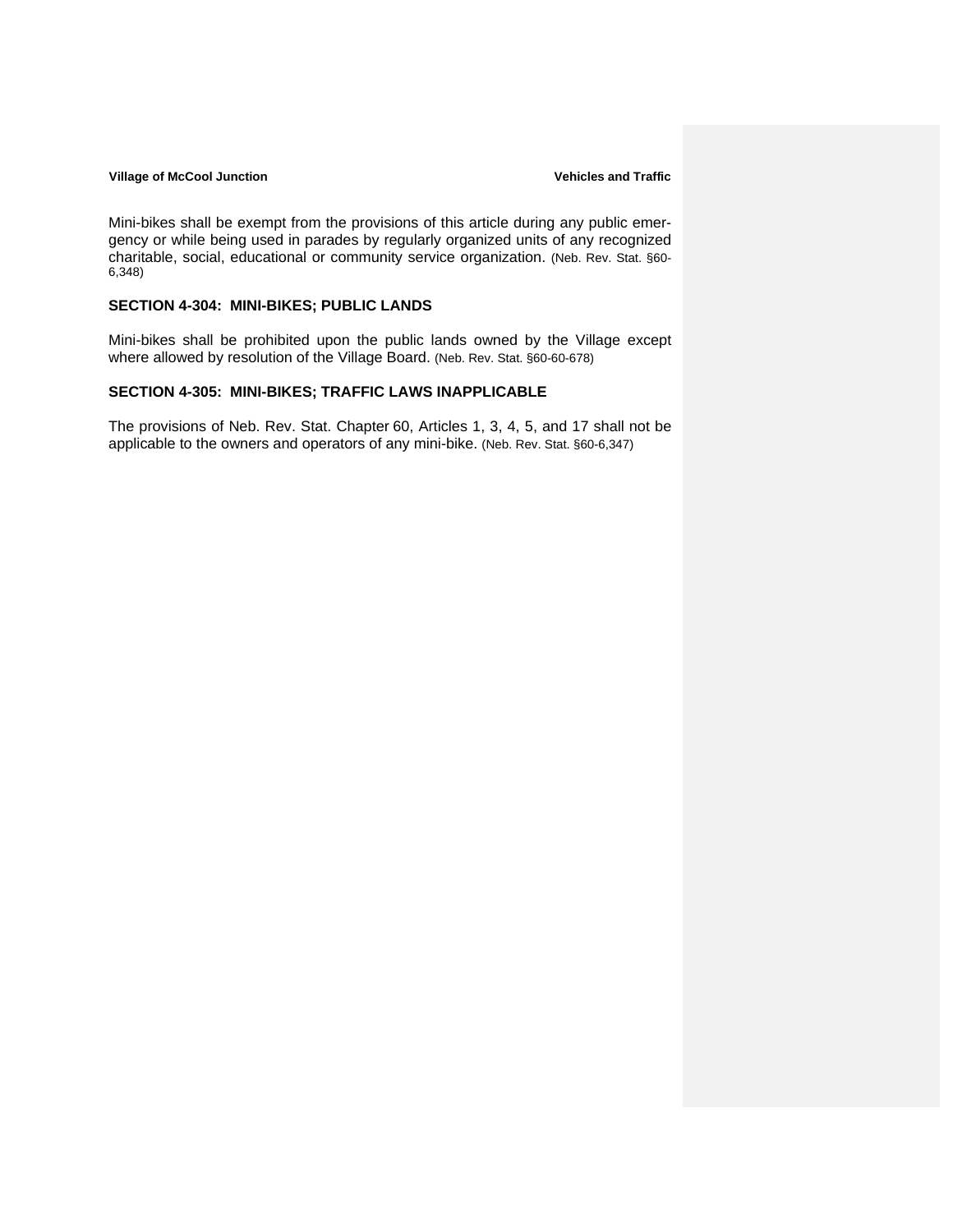Mini-bikes shall be exempt from the provisions of this article during any public emergency or while being used in parades by regularly organized units of any recognized charitable, social, educational or community service organization. (Neb. Rev. Stat. §60- 6,348)

### **SECTION 4-304: MINI-BIKES; PUBLIC LANDS**

Mini-bikes shall be prohibited upon the public lands owned by the Village except where allowed by resolution of the Village Board. (Neb. Rev. Stat. §60-60-678)

#### **SECTION 4-305: MINI-BIKES; TRAFFIC LAWS INAPPLICABLE**

The provisions of Neb. Rev. Stat. Chapter 60, Articles 1, 3, 4, 5, and 17 shall not be applicable to the owners and operators of any mini-bike. (Neb. Rev. Stat. §60-6,347)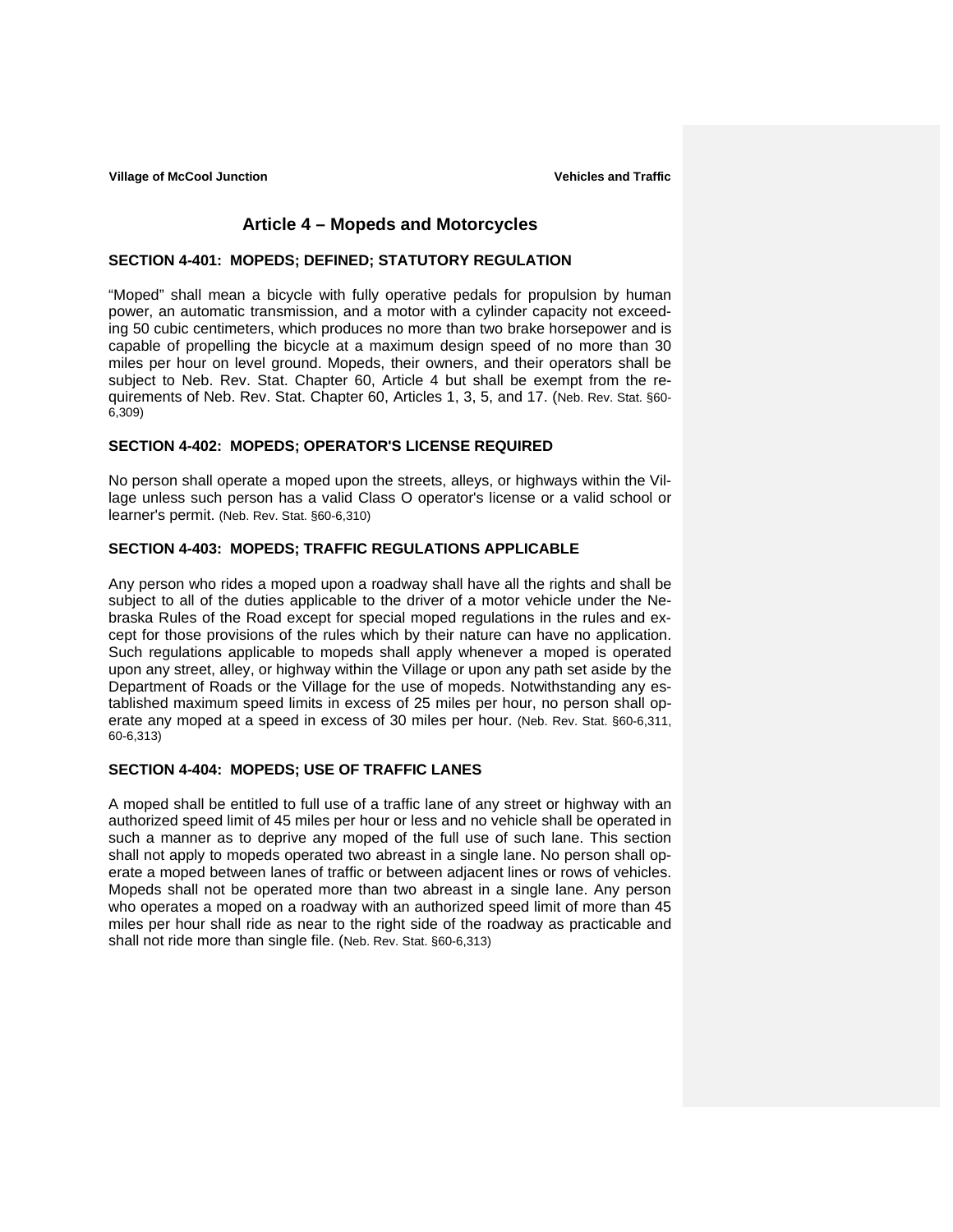# **Article 4 – Mopeds and Motorcycles**

#### **SECTION 4-401: MOPEDS; DEFINED; STATUTORY REGULATION**

"Moped" shall mean a bicycle with fully operative pedals for propulsion by human power, an automatic transmission, and a motor with a cylinder capacity not exceeding 50 cubic centimeters, which produces no more than two brake horsepower and is capable of propelling the bicycle at a maximum design speed of no more than 30 miles per hour on level ground. Mopeds, their owners, and their operators shall be subject to Neb. Rev. Stat. Chapter 60, Article 4 but shall be exempt from the requirements of Neb. Rev. Stat. Chapter 60, Articles 1, 3, 5, and 17. (Neb. Rev. Stat. §60- 6,309)

## **SECTION 4-402: MOPEDS; OPERATOR'S LICENSE REQUIRED**

No person shall operate a moped upon the streets, alleys, or highways within the Village unless such person has a valid Class O operator's license or a valid school or learner's permit. (Neb. Rev. Stat. §60-6,310)

## **SECTION 4-403: MOPEDS; TRAFFIC REGULATIONS APPLICABLE**

Any person who rides a moped upon a roadway shall have all the rights and shall be subject to all of the duties applicable to the driver of a motor vehicle under the Nebraska Rules of the Road except for special moped regulations in the rules and except for those provisions of the rules which by their nature can have no application. Such regulations applicable to mopeds shall apply whenever a moped is operated upon any street, alley, or highway within the Village or upon any path set aside by the Department of Roads or the Village for the use of mopeds. Notwithstanding any established maximum speed limits in excess of 25 miles per hour, no person shall operate any moped at a speed in excess of 30 miles per hour. (Neb. Rev. Stat. §60-6,311, 60-6,313)

## **SECTION 4-404: MOPEDS; USE OF TRAFFIC LANES**

A moped shall be entitled to full use of a traffic lane of any street or highway with an authorized speed limit of 45 miles per hour or less and no vehicle shall be operated in such a manner as to deprive any moped of the full use of such lane. This section shall not apply to mopeds operated two abreast in a single lane. No person shall operate a moped between lanes of traffic or between adjacent lines or rows of vehicles. Mopeds shall not be operated more than two abreast in a single lane. Any person who operates a moped on a roadway with an authorized speed limit of more than 45 miles per hour shall ride as near to the right side of the roadway as practicable and shall not ride more than single file. (Neb. Rev. Stat. §60-6,313)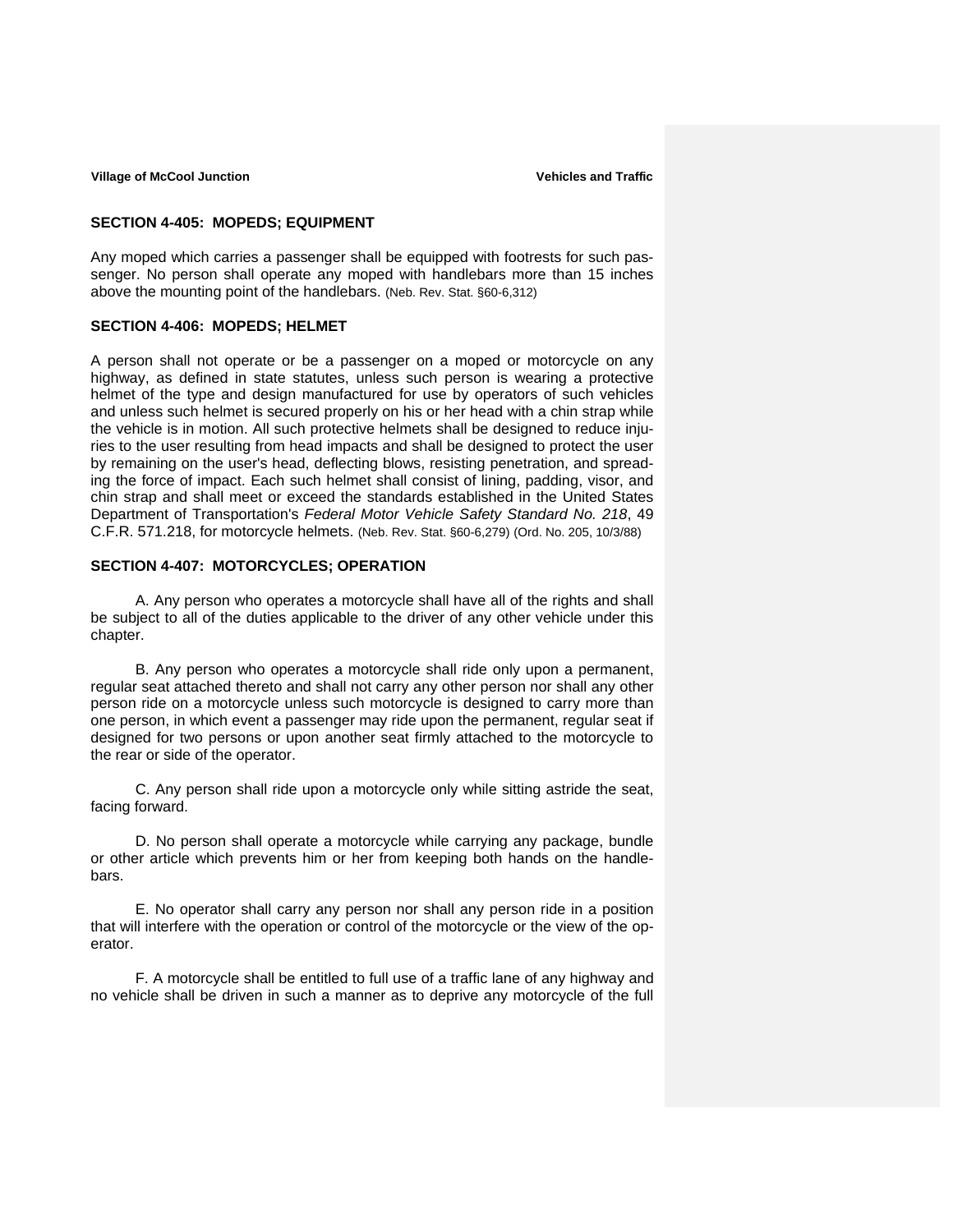### **SECTION 4-405: MOPEDS; EQUIPMENT**

Any moped which carries a passenger shall be equipped with footrests for such passenger. No person shall operate any moped with handlebars more than 15 inches above the mounting point of the handlebars. (Neb. Rev. Stat. §60-6,312)

#### **SECTION 4-406: MOPEDS; HELMET**

A person shall not operate or be a passenger on a moped or motorcycle on any highway, as defined in state statutes, unless such person is wearing a protective helmet of the type and design manufactured for use by operators of such vehicles and unless such helmet is secured properly on his or her head with a chin strap while the vehicle is in motion. All such protective helmets shall be designed to reduce injuries to the user resulting from head impacts and shall be designed to protect the user by remaining on the user's head, deflecting blows, resisting penetration, and spreading the force of impact. Each such helmet shall consist of lining, padding, visor, and chin strap and shall meet or exceed the standards established in the United States Department of Transportation's *Federal Motor Vehicle Safety Standard No. 218*, 49 C.F.R. 571.218, for motorcycle helmets. (Neb. Rev. Stat. §60-6,279) (Ord. No. 205, 10/3/88)

#### **SECTION 4-407: MOTORCYCLES; OPERATION**

A. Any person who operates a motorcycle shall have all of the rights and shall be subject to all of the duties applicable to the driver of any other vehicle under this chapter.

B. Any person who operates a motorcycle shall ride only upon a permanent, regular seat attached thereto and shall not carry any other person nor shall any other person ride on a motorcycle unless such motorcycle is designed to carry more than one person, in which event a passenger may ride upon the permanent, regular seat if designed for two persons or upon another seat firmly attached to the motorcycle to the rear or side of the operator.

C. Any person shall ride upon a motorcycle only while sitting astride the seat, facing forward.

D. No person shall operate a motorcycle while carrying any package, bundle or other article which prevents him or her from keeping both hands on the handlebars.

E. No operator shall carry any person nor shall any person ride in a position that will interfere with the operation or control of the motorcycle or the view of the operator.

F. A motorcycle shall be entitled to full use of a traffic lane of any highway and no vehicle shall be driven in such a manner as to deprive any motorcycle of the full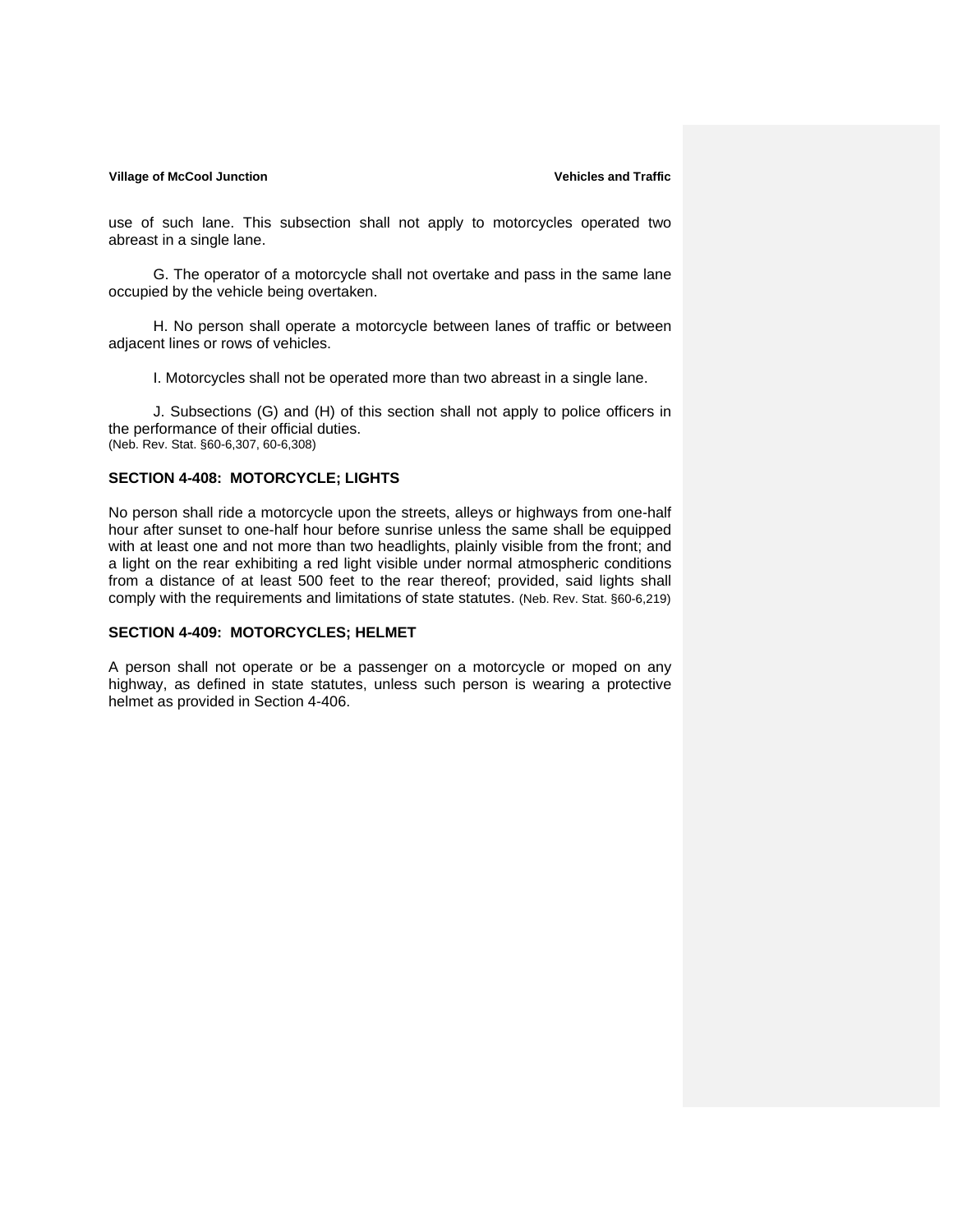use of such lane. This subsection shall not apply to motorcycles operated two abreast in a single lane.

G. The operator of a motorcycle shall not overtake and pass in the same lane occupied by the vehicle being overtaken.

H. No person shall operate a motorcycle between lanes of traffic or between adjacent lines or rows of vehicles.

I. Motorcycles shall not be operated more than two abreast in a single lane.

J. Subsections (G) and (H) of this section shall not apply to police officers in the performance of their official duties. (Neb. Rev. Stat. §60-6,307, 60-6,308)

#### **SECTION 4-408: MOTORCYCLE; LIGHTS**

No person shall ride a motorcycle upon the streets, alleys or highways from one-half hour after sunset to one-half hour before sunrise unless the same shall be equipped with at least one and not more than two headlights, plainly visible from the front; and a light on the rear exhibiting a red light visible under normal atmospheric conditions from a distance of at least 500 feet to the rear thereof; provided, said lights shall comply with the requirements and limitations of state statutes. (Neb. Rev. Stat. §60-6,219)

## **SECTION 4-409: MOTORCYCLES; HELMET**

A person shall not operate or be a passenger on a motorcycle or moped on any highway, as defined in state statutes, unless such person is wearing a protective helmet as provided in Section 4-406.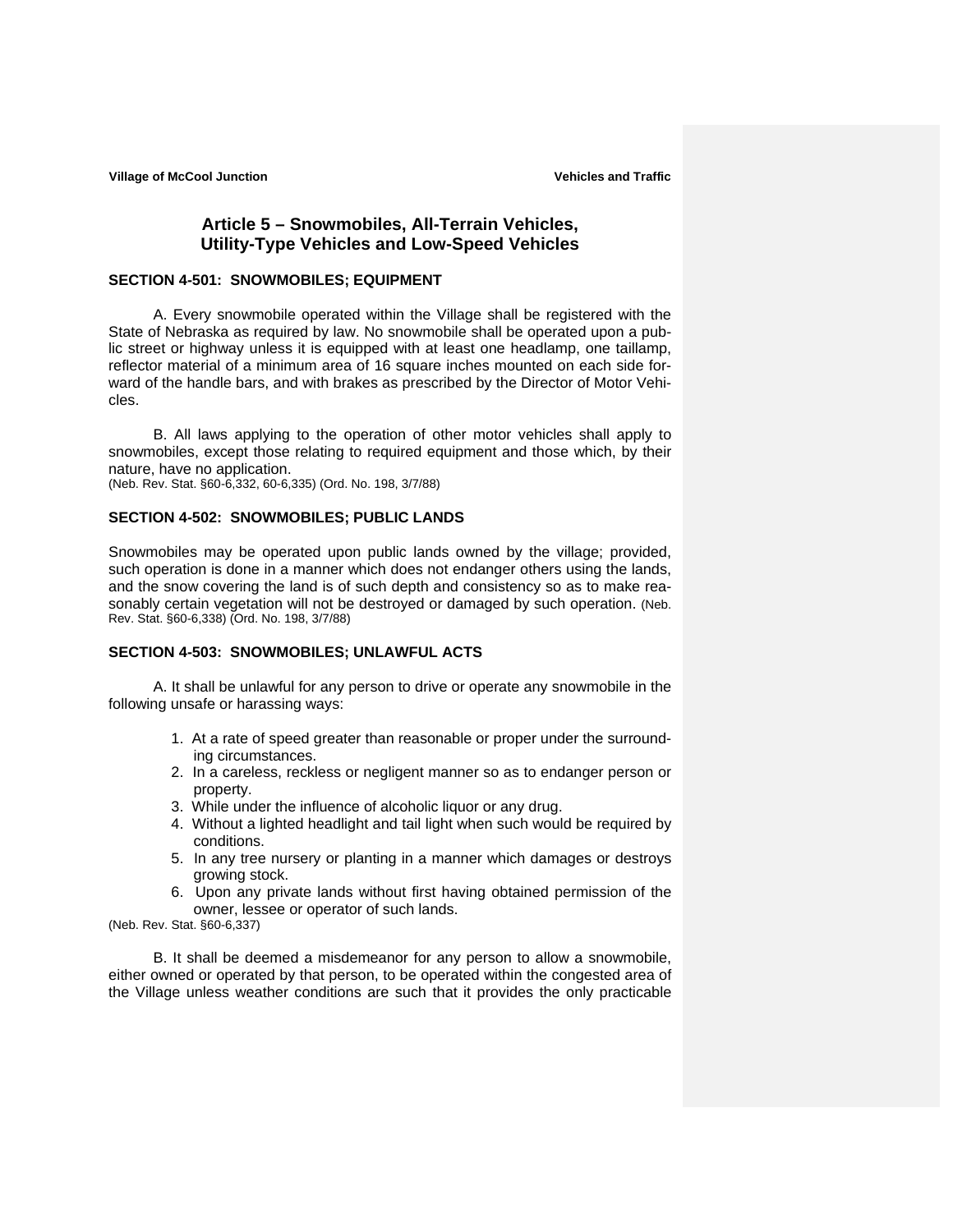# **Article 5 – Snowmobiles, All-Terrain Vehicles, Utility-Type Vehicles and Low-Speed Vehicles**

#### **SECTION 4-501: SNOWMOBILES; EQUIPMENT**

A. Every snowmobile operated within the Village shall be registered with the State of Nebraska as required by law. No snowmobile shall be operated upon a public street or highway unless it is equipped with at least one headlamp, one taillamp, reflector material of a minimum area of 16 square inches mounted on each side forward of the handle bars, and with brakes as prescribed by the Director of Motor Vehicles.

B. All laws applying to the operation of other motor vehicles shall apply to snowmobiles, except those relating to required equipment and those which, by their nature, have no application.

(Neb. Rev. Stat. §60-6,332, 60-6,335) (Ord. No. 198, 3/7/88)

#### **SECTION 4-502: SNOWMOBILES; PUBLIC LANDS**

Snowmobiles may be operated upon public lands owned by the village; provided, such operation is done in a manner which does not endanger others using the lands, and the snow covering the land is of such depth and consistency so as to make reasonably certain vegetation will not be destroyed or damaged by such operation. (Neb. Rev. Stat. §60-6,338) (Ord. No. 198, 3/7/88)

## **SECTION 4-503: SNOWMOBILES; UNLAWFUL ACTS**

A. It shall be unlawful for any person to drive or operate any snowmobile in the following unsafe or harassing ways:

- 1. At a rate of speed greater than reasonable or proper under the surrounding circumstances.
- 2. In a careless, reckless or negligent manner so as to endanger person or property.
- 3. While under the influence of alcoholic liquor or any drug.
- 4. Without a lighted headlight and tail light when such would be required by conditions.
- 5. In any tree nursery or planting in a manner which damages or destroys growing stock.
- 6. Upon any private lands without first having obtained permission of the owner, lessee or operator of such lands.

(Neb. Rev. Stat. §60-6,337)

B. It shall be deemed a misdemeanor for any person to allow a snowmobile, either owned or operated by that person, to be operated within the congested area of the Village unless weather conditions are such that it provides the only practicable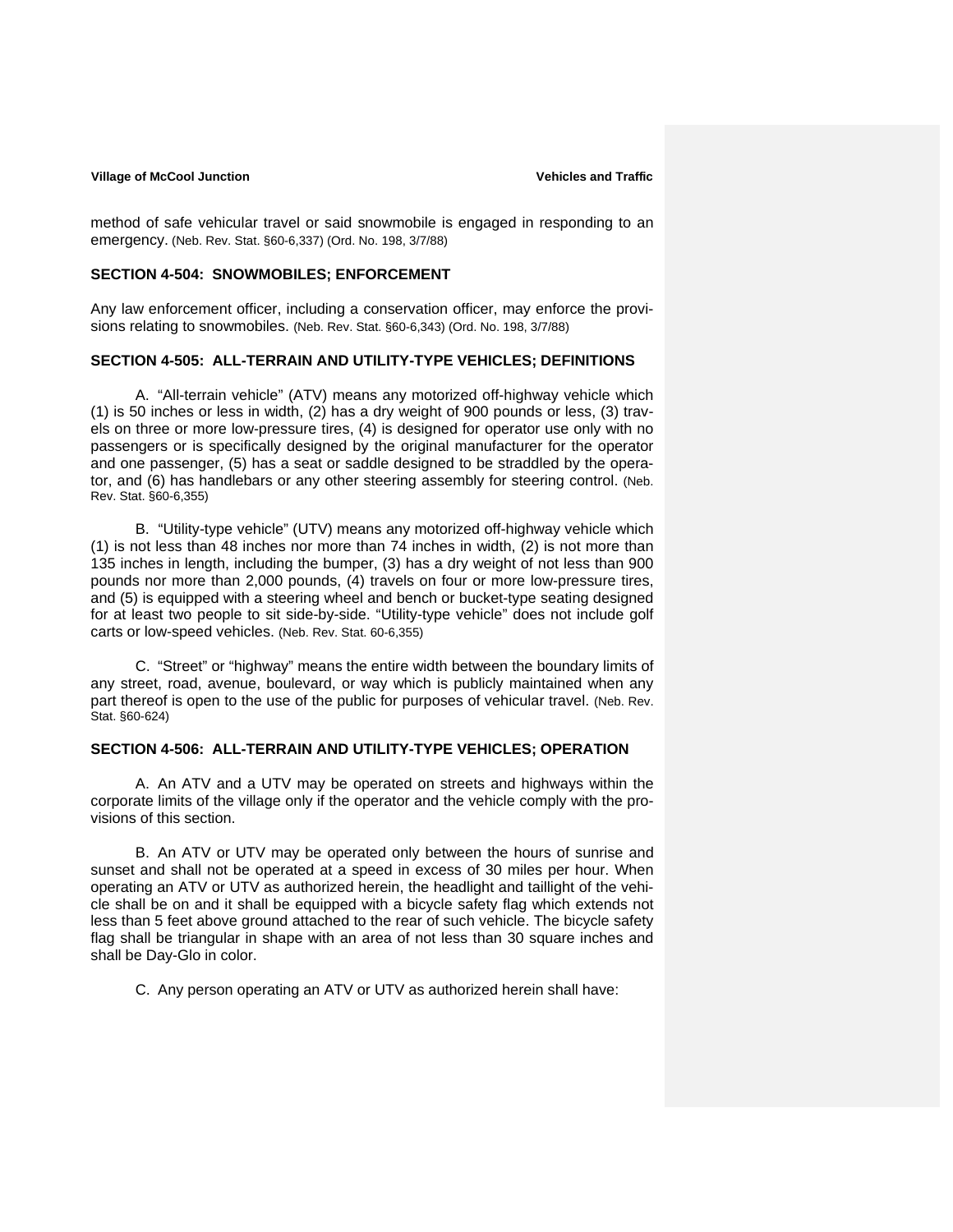method of safe vehicular travel or said snowmobile is engaged in responding to an emergency. (Neb. Rev. Stat. §60-6,337) (Ord. No. 198, 3/7/88)

#### **SECTION 4-504: SNOWMOBILES; ENFORCEMENT**

Any law enforcement officer, including a conservation officer, may enforce the provisions relating to snowmobiles. (Neb. Rev. Stat. §60-6,343) (Ord. No. 198, 3/7/88)

## **SECTION 4-505: ALL-TERRAIN AND UTILITY-TYPE VEHICLES; DEFINITIONS**

A. "All-terrain vehicle" (ATV) means any motorized off-highway vehicle which (1) is 50 inches or less in width, (2) has a dry weight of 900 pounds or less, (3) travels on three or more low-pressure tires, (4) is designed for operator use only with no passengers or is specifically designed by the original manufacturer for the operator and one passenger, (5) has a seat or saddle designed to be straddled by the operator, and (6) has handlebars or any other steering assembly for steering control. (Neb. Rev. Stat. §60-6,355)

B. "Utility-type vehicle" (UTV) means any motorized off-highway vehicle which (1) is not less than 48 inches nor more than 74 inches in width, (2) is not more than 135 inches in length, including the bumper, (3) has a dry weight of not less than 900 pounds nor more than 2,000 pounds, (4) travels on four or more low-pressure tires, and (5) is equipped with a steering wheel and bench or bucket-type seating designed for at least two people to sit side-by-side. "Utility-type vehicle" does not include golf carts or low-speed vehicles. (Neb. Rev. Stat. 60-6,355)

C. "Street" or "highway" means the entire width between the boundary limits of any street, road, avenue, boulevard, or way which is publicly maintained when any part thereof is open to the use of the public for purposes of vehicular travel. (Neb. Rev. Stat. §60-624)

#### **SECTION 4-506: ALL-TERRAIN AND UTILITY-TYPE VEHICLES; OPERATION**

A. An ATV and a UTV may be operated on streets and highways within the corporate limits of the village only if the operator and the vehicle comply with the provisions of this section.

B. An ATV or UTV may be operated only between the hours of sunrise and sunset and shall not be operated at a speed in excess of 30 miles per hour. When operating an ATV or UTV as authorized herein, the headlight and taillight of the vehicle shall be on and it shall be equipped with a bicycle safety flag which extends not less than 5 feet above ground attached to the rear of such vehicle. The bicycle safety flag shall be triangular in shape with an area of not less than 30 square inches and shall be Day-Glo in color.

C. Any person operating an ATV or UTV as authorized herein shall have: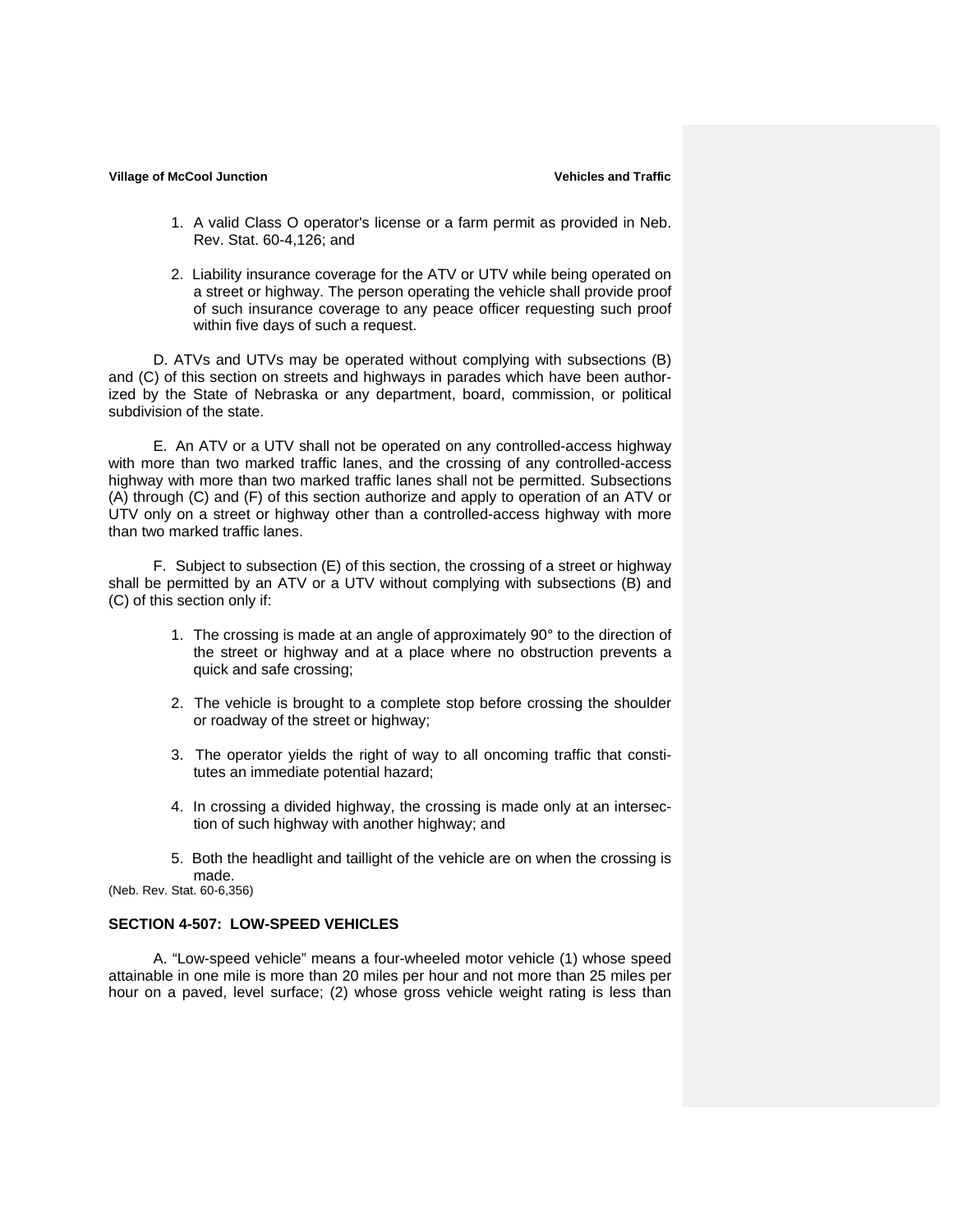- 1. A valid Class O operator's license or a farm permit as provided in Neb. Rev. Stat. 60-4,126; and
- 2. Liability insurance coverage for the ATV or UTV while being operated on a street or highway. The person operating the vehicle shall provide proof of such insurance coverage to any peace officer requesting such proof within five days of such a request.

D. ATVs and UTVs may be operated without complying with subsections (B) and (C) of this section on streets and highways in parades which have been authorized by the State of Nebraska or any department, board, commission, or political subdivision of the state.

E. An ATV or a UTV shall not be operated on any controlled-access highway with more than two marked traffic lanes, and the crossing of any controlled-access highway with more than two marked traffic lanes shall not be permitted. Subsections (A) through (C) and (F) of this section authorize and apply to operation of an ATV or UTV only on a street or highway other than a controlled-access highway with more than two marked traffic lanes.

F. Subject to subsection (E) of this section, the crossing of a street or highway shall be permitted by an ATV or a UTV without complying with subsections (B) and (C) of this section only if:

- 1. The crossing is made at an angle of approximately 90° to the direction of the street or highway and at a place where no obstruction prevents a quick and safe crossing;
- 2. The vehicle is brought to a complete stop before crossing the shoulder or roadway of the street or highway;
- 3. The operator yields the right of way to all oncoming traffic that constitutes an immediate potential hazard;
- 4. In crossing a divided highway, the crossing is made only at an intersection of such highway with another highway; and
- 5. Both the headlight and taillight of the vehicle are on when the crossing is made.

(Neb. Rev. Stat. 60-6,356)

# **SECTION 4-507: LOW-SPEED VEHICLES**

A. "Low-speed vehicle" means a four-wheeled motor vehicle (1) whose speed attainable in one mile is more than 20 miles per hour and not more than 25 miles per hour on a paved, level surface; (2) whose gross vehicle weight rating is less than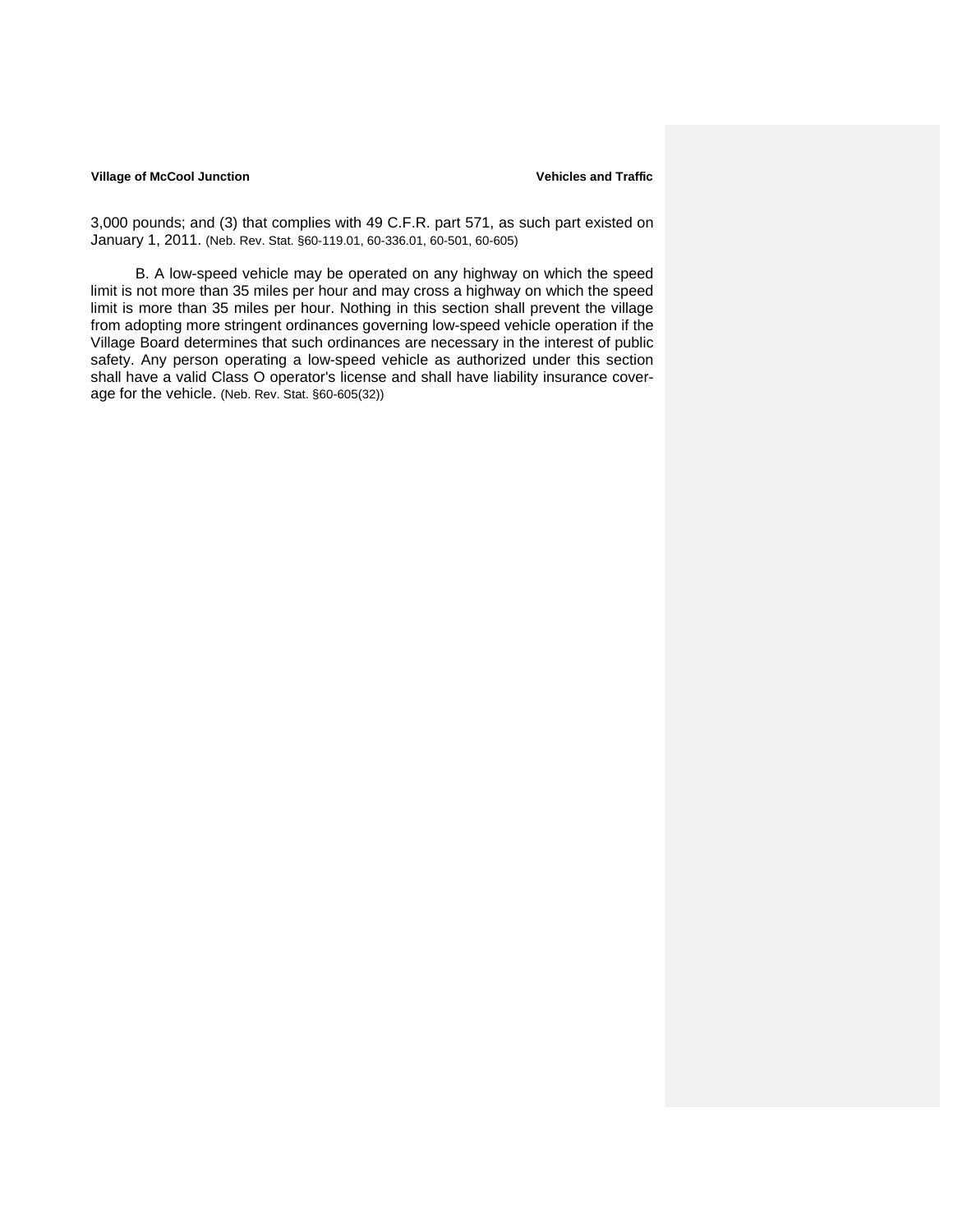#### **Village of McCool Junction Community Community Community Community Community Community Community Community Community Community Community Community Community Community Community Community Community Community Community Comm**

3,000 pounds; and (3) that complies with 49 C.F.R. part 571, as such part existed on January 1, 2011. (Neb. Rev. Stat. §60-119.01, 60-336.01, 60-501, 60-605)

B. A low-speed vehicle may be operated on any highway on which the speed limit is not more than 35 miles per hour and may cross a highway on which the speed limit is more than 35 miles per hour. Nothing in this section shall prevent the village from adopting more stringent ordinances governing low-speed vehicle operation if the Village Board determines that such ordinances are necessary in the interest of public safety. Any person operating a low-speed vehicle as authorized under this section shall have a valid Class O operator's license and shall have liability insurance coverage for the vehicle. (Neb. Rev. Stat. §60-605(32))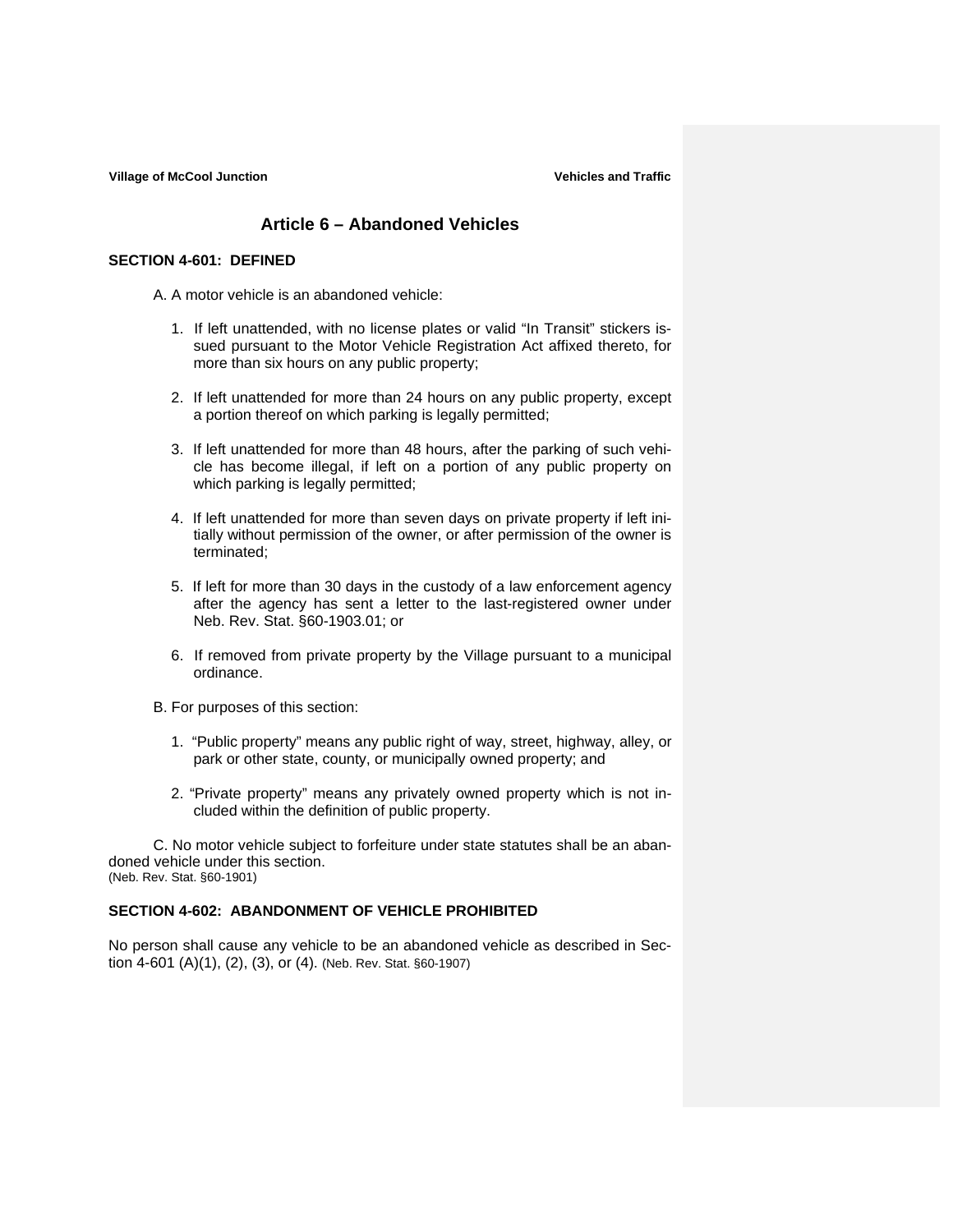# **Article 6 – Abandoned Vehicles**

#### **SECTION 4-601: DEFINED**

A. A motor vehicle is an abandoned vehicle:

- 1. If left unattended, with no license plates or valid "In Transit" stickers issued pursuant to the Motor Vehicle Registration Act affixed thereto, for more than six hours on any public property;
- 2. If left unattended for more than 24 hours on any public property, except a portion thereof on which parking is legally permitted;
- 3. If left unattended for more than 48 hours, after the parking of such vehicle has become illegal, if left on a portion of any public property on which parking is legally permitted;
- 4. If left unattended for more than seven days on private property if left initially without permission of the owner, or after permission of the owner is terminated;
- 5. If left for more than 30 days in the custody of a law enforcement agency after the agency has sent a letter to the last-registered owner under Neb. Rev. Stat. §60-1903.01; or
- 6. If removed from private property by the Village pursuant to a municipal ordinance.
- B. For purposes of this section:
	- 1. "Public property" means any public right of way, street, highway, alley, or park or other state, county, or municipally owned property; and
	- 2. "Private property" means any privately owned property which is not included within the definition of public property.

 C. No motor vehicle subject to forfeiture under state statutes shall be an abandoned vehicle under this section. (Neb. Rev. Stat. §60-1901)

### **SECTION 4-602: ABANDONMENT OF VEHICLE PROHIBITED**

No person shall cause any vehicle to be an abandoned vehicle as described in Section 4-601 (A)(1), (2), (3), or (4). (Neb. Rev. Stat. §60-1907)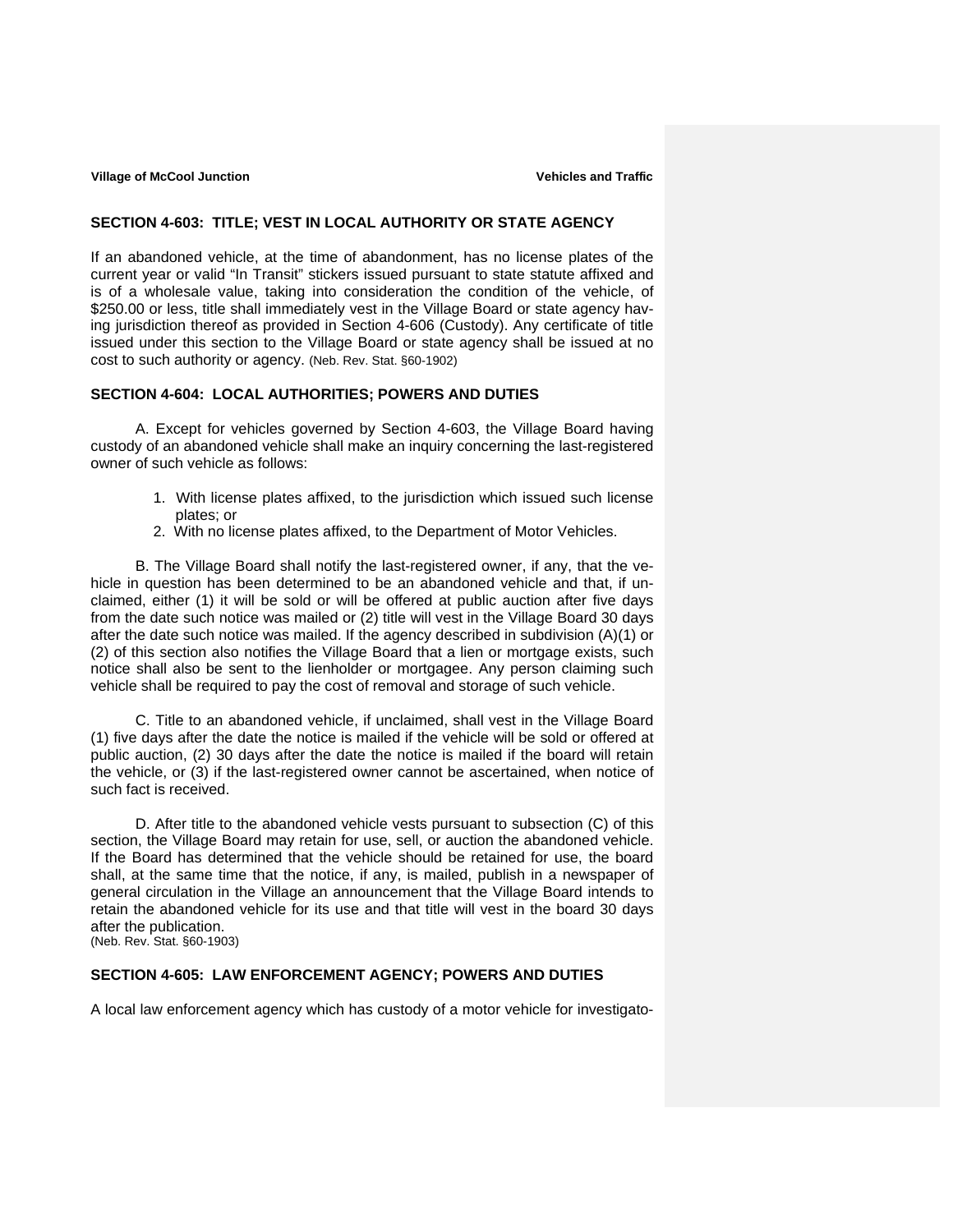## **SECTION 4-603: TITLE; VEST IN LOCAL AUTHORITY OR STATE AGENCY**

If an abandoned vehicle, at the time of abandonment, has no license plates of the current year or valid "In Transit" stickers issued pursuant to state statute affixed and is of a wholesale value, taking into consideration the condition of the vehicle, of \$250.00 or less, title shall immediately vest in the Village Board or state agency having jurisdiction thereof as provided in Section 4-606 (Custody). Any certificate of title issued under this section to the Village Board or state agency shall be issued at no cost to such authority or agency. (Neb. Rev. Stat. §60-1902)

## **SECTION 4-604: LOCAL AUTHORITIES; POWERS AND DUTIES**

 A. Except for vehicles governed by Section 4-603, the Village Board having custody of an abandoned vehicle shall make an inquiry concerning the last-registered owner of such vehicle as follows:

- 1. With license plates affixed, to the jurisdiction which issued such license plates; or
- 2. With no license plates affixed, to the Department of Motor Vehicles.

B. The Village Board shall notify the last-registered owner, if any, that the vehicle in question has been determined to be an abandoned vehicle and that, if unclaimed, either (1) it will be sold or will be offered at public auction after five days from the date such notice was mailed or (2) title will vest in the Village Board 30 days after the date such notice was mailed. If the agency described in subdivision (A)(1) or (2) of this section also notifies the Village Board that a lien or mortgage exists, such notice shall also be sent to the lienholder or mortgagee. Any person claiming such vehicle shall be required to pay the cost of removal and storage of such vehicle.

C. Title to an abandoned vehicle, if unclaimed, shall vest in the Village Board (1) five days after the date the notice is mailed if the vehicle will be sold or offered at public auction, (2) 30 days after the date the notice is mailed if the board will retain the vehicle, or (3) if the last-registered owner cannot be ascertained, when notice of such fact is received.

D. After title to the abandoned vehicle vests pursuant to subsection (C) of this section, the Village Board may retain for use, sell, or auction the abandoned vehicle. If the Board has determined that the vehicle should be retained for use, the board shall, at the same time that the notice, if any, is mailed, publish in a newspaper of general circulation in the Village an announcement that the Village Board intends to retain the abandoned vehicle for its use and that title will vest in the board 30 days after the publication.

# (Neb. Rev. Stat. §60-1903)

# **SECTION 4-605: LAW ENFORCEMENT AGENCY; POWERS AND DUTIES**

A local law enforcement agency which has custody of a motor vehicle for investigato-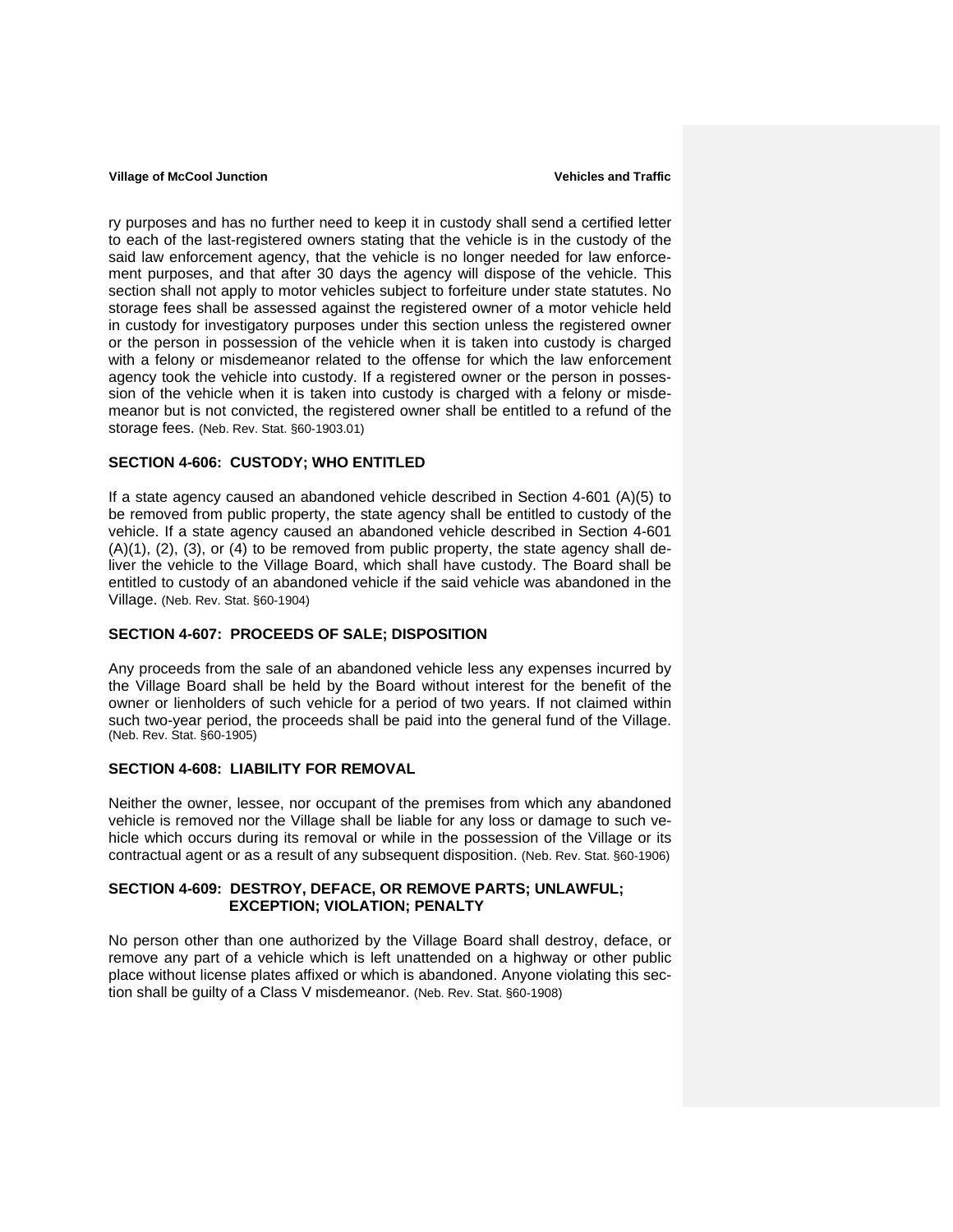ry purposes and has no further need to keep it in custody shall send a certified letter to each of the last-registered owners stating that the vehicle is in the custody of the said law enforcement agency, that the vehicle is no longer needed for law enforcement purposes, and that after 30 days the agency will dispose of the vehicle. This section shall not apply to motor vehicles subject to forfeiture under state statutes. No storage fees shall be assessed against the registered owner of a motor vehicle held in custody for investigatory purposes under this section unless the registered owner or the person in possession of the vehicle when it is taken into custody is charged with a felony or misdemeanor related to the offense for which the law enforcement agency took the vehicle into custody. If a registered owner or the person in possession of the vehicle when it is taken into custody is charged with a felony or misdemeanor but is not convicted, the registered owner shall be entitled to a refund of the storage fees. (Neb. Rev. Stat. §60-1903.01)

## **SECTION 4-606: CUSTODY; WHO ENTITLED**

If a state agency caused an abandoned vehicle described in Section 4-601 (A)(5) to be removed from public property, the state agency shall be entitled to custody of the vehicle. If a state agency caused an abandoned vehicle described in Section 4-601  $(A)(1)$ ,  $(2)$ ,  $(3)$ , or  $(4)$  to be removed from public property, the state agency shall deliver the vehicle to the Village Board, which shall have custody. The Board shall be entitled to custody of an abandoned vehicle if the said vehicle was abandoned in the Village. (Neb. Rev. Stat. §60-1904)

#### **SECTION 4-607: PROCEEDS OF SALE; DISPOSITION**

Any proceeds from the sale of an abandoned vehicle less any expenses incurred by the Village Board shall be held by the Board without interest for the benefit of the owner or lienholders of such vehicle for a period of two years. If not claimed within such two-year period, the proceeds shall be paid into the general fund of the Village. (Neb. Rev. Stat. §60-1905)

## **SECTION 4-608: LIABILITY FOR REMOVAL**

Neither the owner, lessee, nor occupant of the premises from which any abandoned vehicle is removed nor the Village shall be liable for any loss or damage to such vehicle which occurs during its removal or while in the possession of the Village or its contractual agent or as a result of any subsequent disposition. (Neb. Rev. Stat. §60-1906)

### **SECTION 4-609: DESTROY, DEFACE, OR REMOVE PARTS; UNLAWFUL; EXCEPTION; VIOLATION; PENALTY**

No person other than one authorized by the Village Board shall destroy, deface, or remove any part of a vehicle which is left unattended on a highway or other public place without license plates affixed or which is abandoned. Anyone violating this section shall be guilty of a Class V misdemeanor. (Neb. Rev. Stat. §60-1908)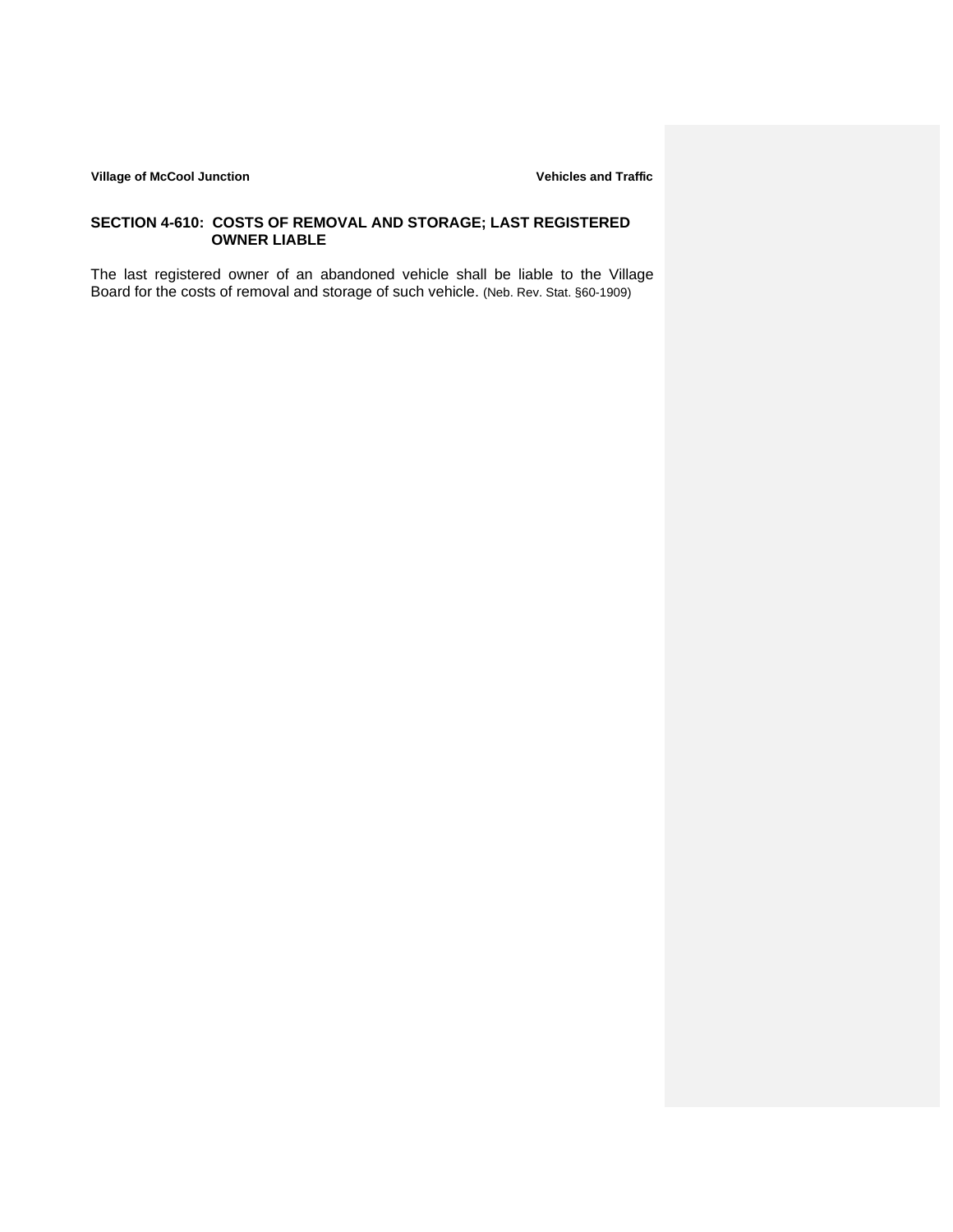## **SECTION 4-610: COSTS OF REMOVAL AND STORAGE; LAST REGISTERED OWNER LIABLE**

The last registered owner of an abandoned vehicle shall be liable to the Village Board for the costs of removal and storage of such vehicle. (Neb. Rev. Stat. §60-1909)